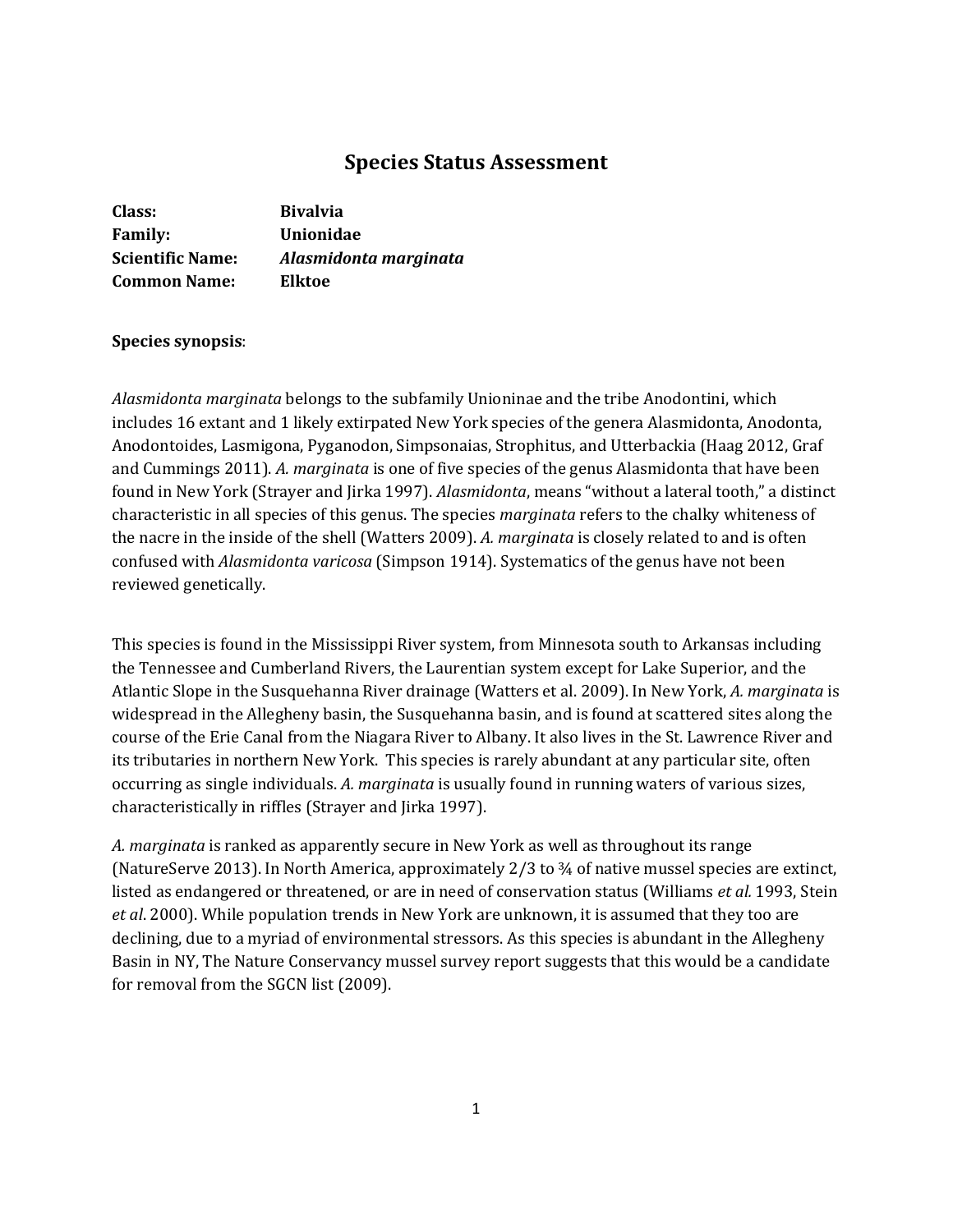# **Species Status Assessment**

| Class:                  | <b>Bivalvia</b>       |
|-------------------------|-----------------------|
| <b>Family:</b>          | Unionidae             |
| <b>Scientific Name:</b> | Alasmidonta marginata |
| <b>Common Name:</b>     | Elktoe                |

## **Species synopsis**:

*Alasmidonta marginata* belongs to the subfamily Unioninae and the tribe Anodontini, which includes 16 extant and 1 likely extirpated New York species of the genera Alasmidonta, Anodonta, Anodontoides, Lasmigona, Pyganodon, Simpsonaias, Strophitus, and Utterbackia (Haag 2012, Graf and Cummings 2011). *A. marginata* is one of five species of the genus Alasmidonta that have been found in New York (Strayer and Jirka 1997). *Alasmidonta*, means "without a lateral tooth," a distinct characteristic in all species of this genus. The species *marginata* refers to the chalky whiteness of the nacre in the inside of the shell (Watters 2009). *A. marginata* is closely related to and is often confused with *Alasmidonta varicosa* (Simpson 1914). Systematics of the genus have not been reviewed genetically.

This species is found in the Mississippi River system, from Minnesota south to Arkansas including the Tennessee and Cumberland Rivers, the Laurentian system except for Lake Superior, and the Atlantic Slope in the Susquehanna River drainage (Watters et al. 2009). In New York, *A. marginata* is widespread in the Allegheny basin, the Susquehanna basin, and is found at scattered sites along the course of the Erie Canal from the Niagara River to Albany. It also lives in the St. Lawrence River and its tributaries in northern New York. This species is rarely abundant at any particular site, often occurring as single individuals. *A. marginata* is usually found in running waters of various sizes, characteristically in riffles (Strayer and Jirka 1997).

*A. marginata* is ranked as apparently secure in New York as well as throughout its range (NatureServe 2013). In North America, approximately 2/3 to ¾ of native mussel species are extinct, listed as endangered or threatened, or are in need of conservation status (Williams *et al.* 1993, Stein *et al*. 2000). While population trends in New York are unknown, it is assumed that they too are declining, due to a myriad of environmental stressors. As this species is abundant in the Allegheny Basin in NY, The Nature Conservancy mussel survey report suggests that this would be a candidate for removal from the SGCN list (2009).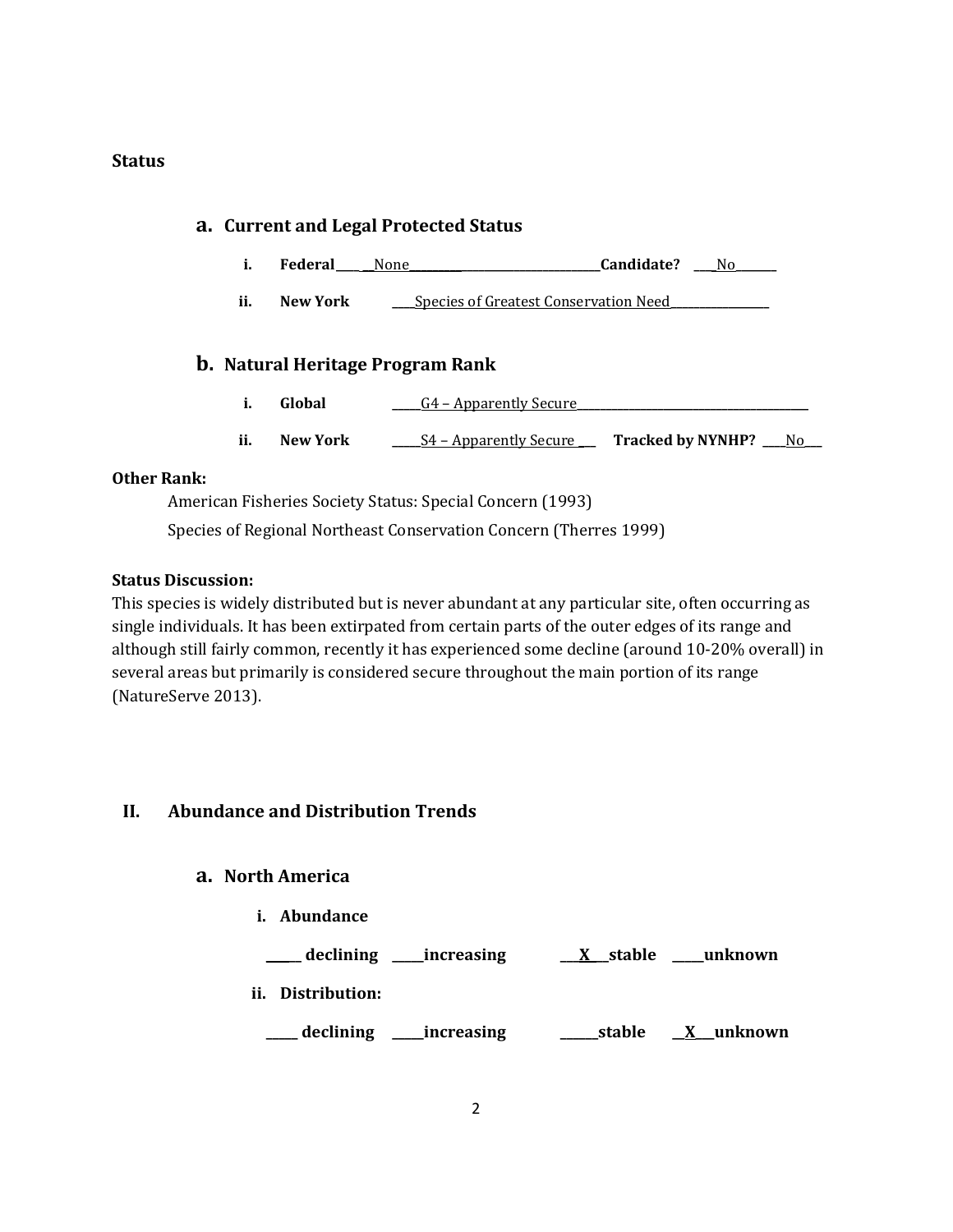## **Status**

# **a. Current and Legal Protected Status i. Federal\_\_\_\_ \_\_**None**\_\_\_\_\_\_\_\_\_\_\_\_\_\_\_\_\_\_\_\_\_\_\_\_\_\_\_\_\_\_\_\_\_Candidate? \_\_\_**\_No**\_\_\_\_\_\_\_ ii. New York \_\_\_\_**Species of Greatest Conservation Need**\_\_\_\_\_\_\_\_\_\_\_\_\_\_\_\_\_ b. Natural Heritage Program Rank i. Global \_\_\_\_\_**G4 – Apparently Secure**\_\_\_\_\_\_\_\_\_\_\_\_\_\_\_\_\_\_\_\_\_\_\_\_\_\_\_\_\_\_\_\_\_\_\_\_\_\_\_\_ ii. New York \_\_\_\_\_**S4 – Apparently Secure **\_\_\_ Tracked by NYNHP? \_\_\_\_**No**\_\_\_**

# **Other Rank:**

American Fisheries Society Status: Special Concern (1993) Species of Regional Northeast Conservation Concern (Therres 1999)

## **Status Discussion:**

This species is widely distributed but is never abundant at any particular site, often occurring as single individuals. It has been extirpated from certain parts of the outer edges of its range and although still fairly common, recently it has experienced some decline (around 10-20% overall) in several areas but primarily is considered secure throughout the main portion of its range (NatureServe 2013).

# **II. Abundance and Distribution Trends**

# **a. North America**

**i. Abundance**

**\_\_ \_\_\_ declining \_\_\_\_\_increasing \_\_\_X\_\_\_stable \_\_\_\_\_unknown**

**ii. Distribution:**

**\_\_\_\_\_ declining \_\_\_\_\_increasing \_\_\_\_\_\_stable \_\_X\_\_\_unknown**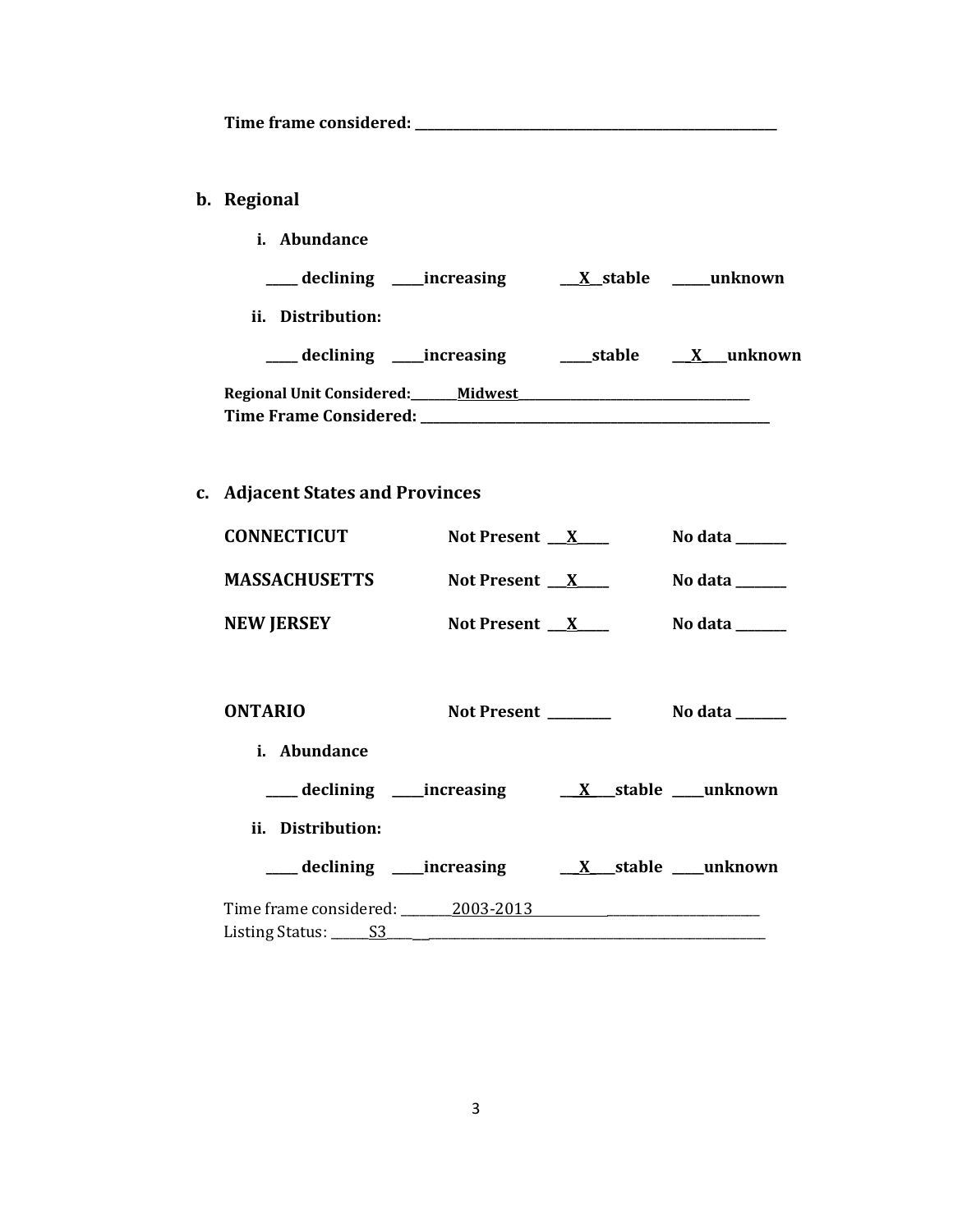**Time frame considered: \_\_\_\_\_\_\_\_\_\_\_\_\_\_\_\_\_\_\_\_\_\_\_\_\_\_\_\_\_\_\_\_\_\_\_\_\_\_\_\_\_\_\_\_\_\_\_\_\_\_\_\_\_\_\_\_\_**

# **b. Regional**

**i. Abundance \_\_\_\_\_ declining \_\_\_\_\_increasing \_\_\_X\_\_stable \_\_\_\_\_\_unknown ii. Distribution: \_\_\_\_\_ declining \_\_\_\_\_increasing \_\_\_\_\_stable \_\_\_X\_\_\_\_unknown Regional Unit Considered:\_\_\_\_\_\_\_\_Midwest\_\_\_\_\_\_\_\_\_\_\_\_\_\_\_\_\_\_\_\_\_\_\_\_\_\_\_\_\_\_\_\_\_\_\_\_\_\_\_\_ Time Frame Considered: \_\_\_\_\_\_\_\_\_\_\_\_\_\_\_\_\_\_\_\_\_\_\_\_\_\_\_\_\_\_\_\_\_\_\_\_\_\_\_\_\_\_\_\_\_\_\_\_\_\_\_\_\_\_\_**

# **c. Adjacent States and Provinces**

| <b>CONNECTICUT</b>               | Not Present $X$     |  | No data $\frac{1}{\sqrt{1-\frac{1}{2}}\cdot\frac{1}{\sqrt{1-\frac{1}{2}}}}$ |
|----------------------------------|---------------------|--|-----------------------------------------------------------------------------|
| <b>MASSACHUSETTS</b>             | Not Present $X$     |  | No data $\_\_\_\_\_\_\_\_\_\_\_\_\$                                         |
| <b>NEW JERSEY</b>                | Not Present $X$     |  | No data $\_\_\_\_\_\_\_\_\_\_\_\$                                           |
|                                  |                     |  |                                                                             |
| <b>ONTARIO</b>                   | Not Present _______ |  | No data $\_\_\_\_\_\_\_\_\_\_\_\_\$                                         |
| <i>i.</i> Abundance              |                     |  |                                                                             |
|                                  |                     |  |                                                                             |
| ii. Distribution:                |                     |  |                                                                             |
|                                  |                     |  |                                                                             |
| Time frame considered: 2003-2013 |                     |  |                                                                             |
|                                  |                     |  |                                                                             |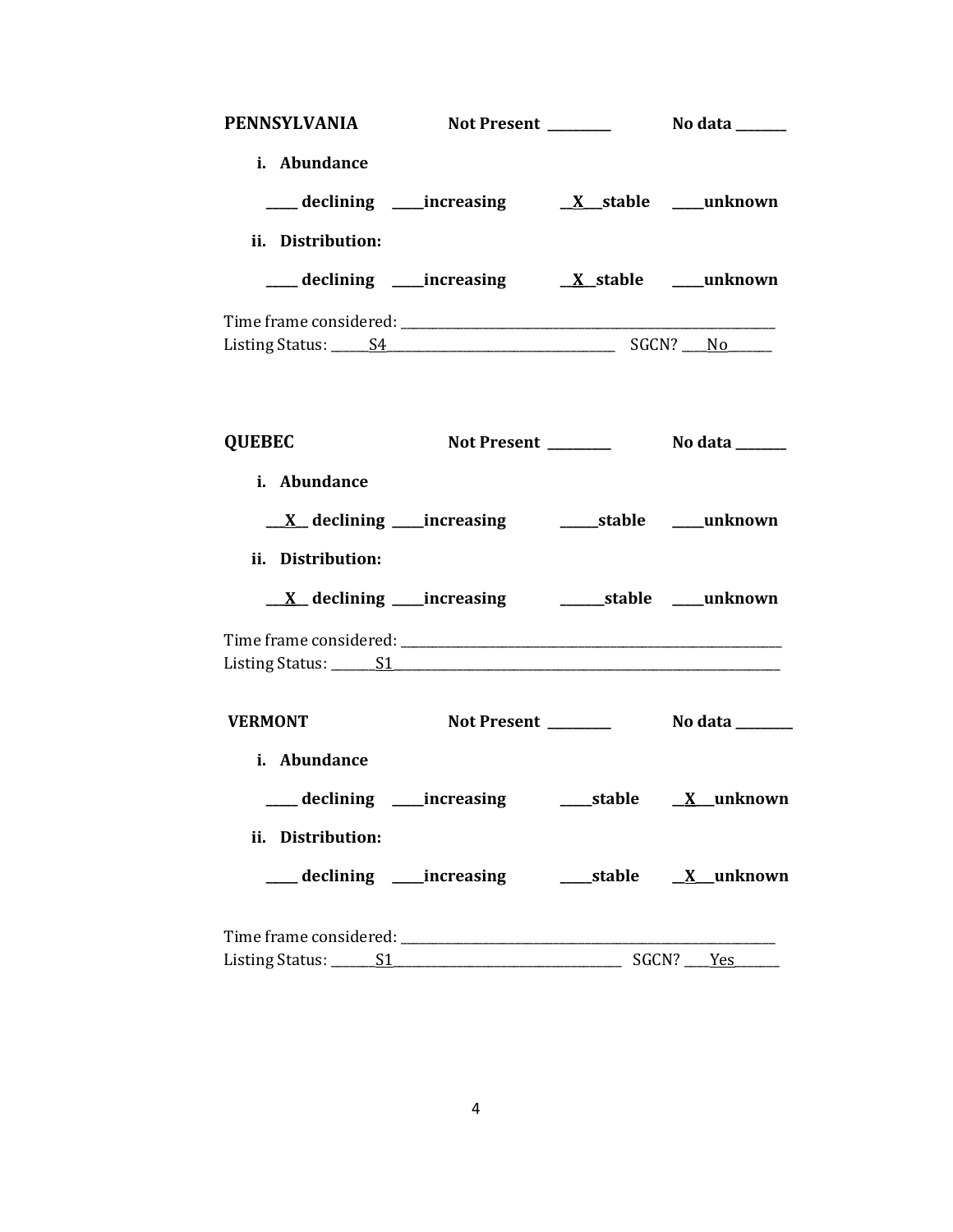| PENNSYLVANIA                                              |  |  |  |  |
|-----------------------------------------------------------|--|--|--|--|
| i. Abundance                                              |  |  |  |  |
|                                                           |  |  |  |  |
| ii. Distribution:                                         |  |  |  |  |
|                                                           |  |  |  |  |
|                                                           |  |  |  |  |
|                                                           |  |  |  |  |
|                                                           |  |  |  |  |
| <b>QUEBEC</b>                                             |  |  |  |  |
| i. Abundance                                              |  |  |  |  |
|                                                           |  |  |  |  |
| ii. Distribution:                                         |  |  |  |  |
|                                                           |  |  |  |  |
|                                                           |  |  |  |  |
|                                                           |  |  |  |  |
| <b>VERMONT</b>                                            |  |  |  |  |
| i. Abundance                                              |  |  |  |  |
| ___ declining ____increasing ______stable _____X__unknown |  |  |  |  |
| ii. Distribution:                                         |  |  |  |  |
|                                                           |  |  |  |  |
|                                                           |  |  |  |  |
|                                                           |  |  |  |  |
|                                                           |  |  |  |  |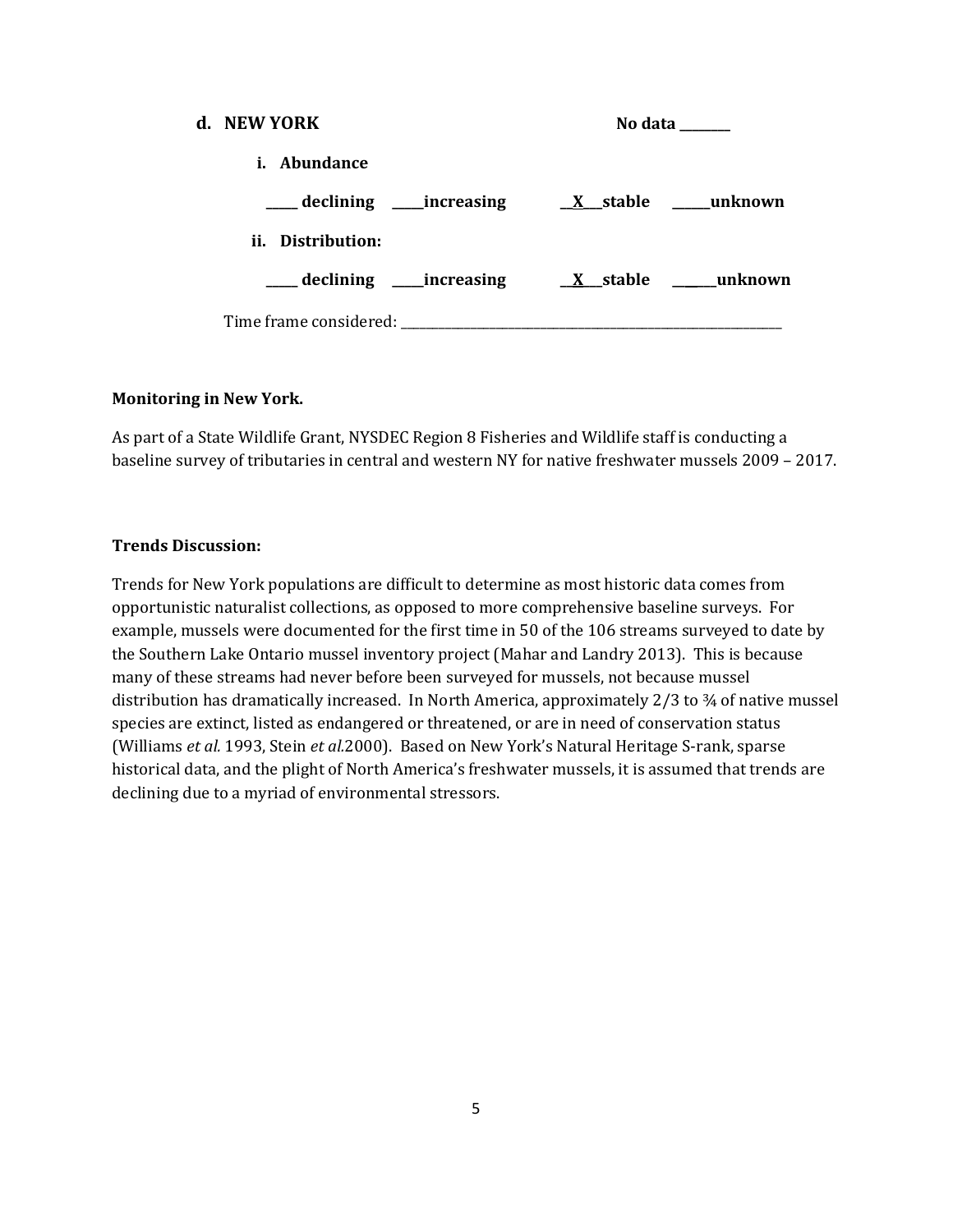| d. NEW YORK                                   | No data                                      |
|-----------------------------------------------|----------------------------------------------|
| <i>i.</i> Abundance                           |                                              |
|                                               |                                              |
| ii. Distribution:                             |                                              |
|                                               | declining increasing X stable ______ unknown |
| Time frame considered: Time frame considered: |                                              |

## **Monitoring in New York.**

As part of a State Wildlife Grant, NYSDEC Region 8 Fisheries and Wildlife staff is conducting a baseline survey of tributaries in central and western NY for native freshwater mussels 2009 – 2017.

## **Trends Discussion:**

Trends for New York populations are difficult to determine as most historic data comes from opportunistic naturalist collections, as opposed to more comprehensive baseline surveys. For example, mussels were documented for the first time in 50 of the 106 streams surveyed to date by the Southern Lake Ontario mussel inventory project (Mahar and Landry 2013). This is because many of these streams had never before been surveyed for mussels, not because mussel distribution has dramatically increased. In North America, approximately 2/3 to ¾ of native mussel species are extinct, listed as endangered or threatened, or are in need of conservation status (Williams *et al.* 1993, Stein *et al.*2000). Based on New York's Natural Heritage S-rank, sparse historical data, and the plight of North America's freshwater mussels, it is assumed that trends are declining due to a myriad of environmental stressors.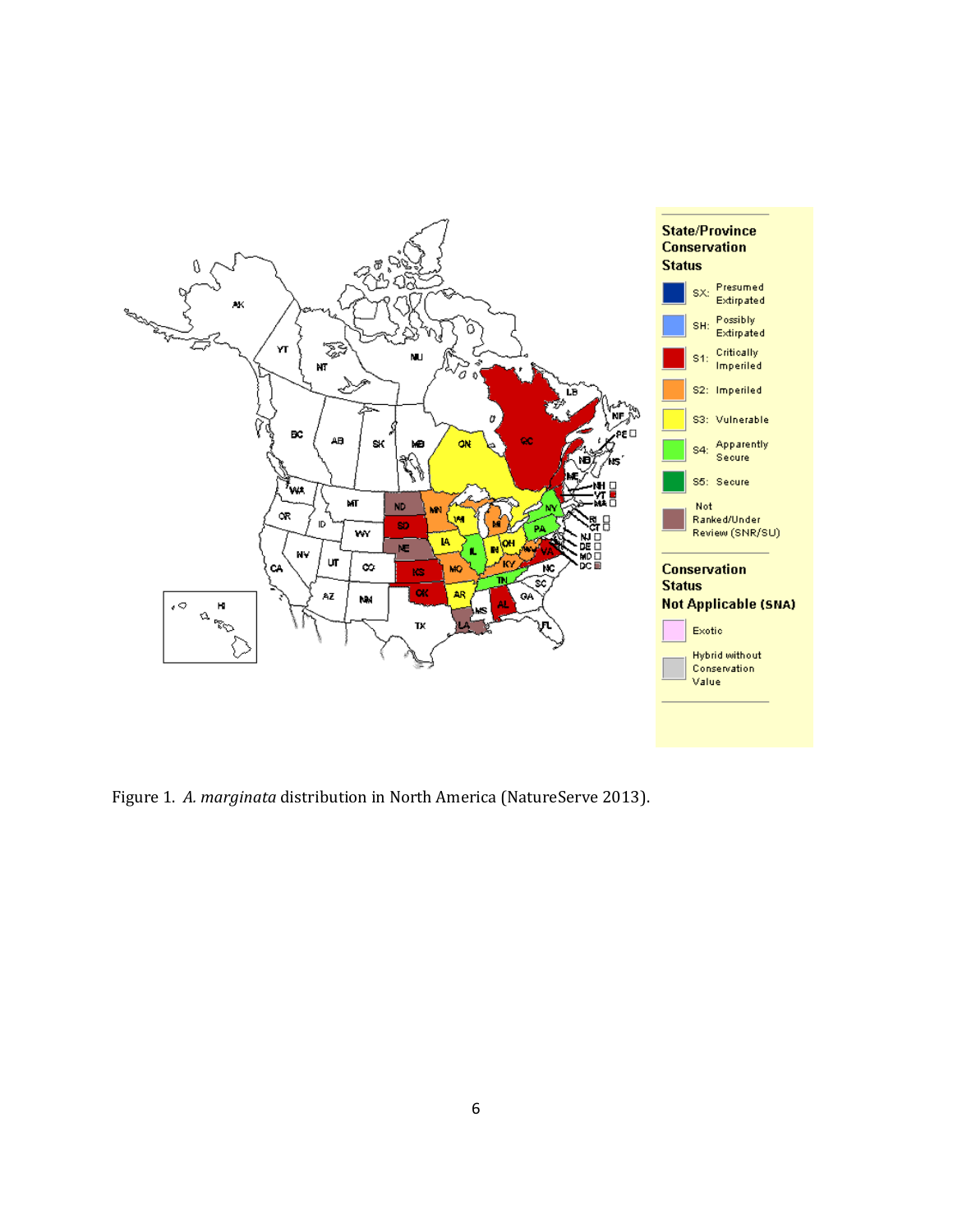

Figure 1. *A. marginata* distribution in North America (NatureServe 2013).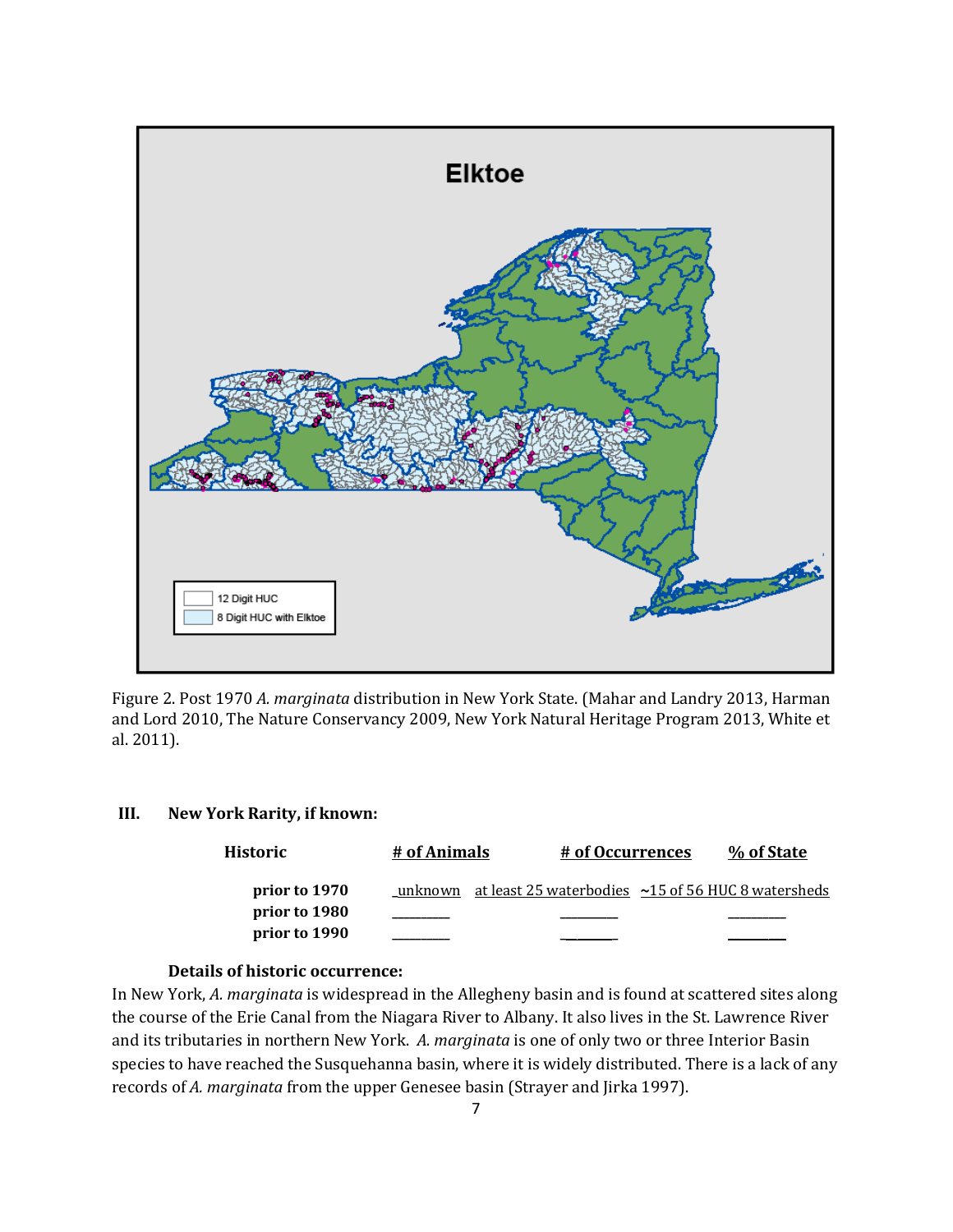

Figure 2. Post 1970 *A. marginata* distribution in New York State. (Mahar and Landry 2013, Harman and Lord 2010, The Nature Conservancy 2009, New York Natural Heritage Program 2013, White et al. 2011).

## **III. New York Rarity, if known:**

| <b>Historic</b> | # of Animals | # of Occurrences | % of State                                                       |
|-----------------|--------------|------------------|------------------------------------------------------------------|
| prior to 1970   |              |                  | unknown at least 25 waterbodies $\sim$ 15 of 56 HUC 8 watersheds |
| prior to 1980   |              |                  |                                                                  |
| prior to 1990   |              |                  |                                                                  |

## **Details of historic occurrence:**

In New York, *A. marginata* is widespread in the Allegheny basin and is found at scattered sites along the course of the Erie Canal from the Niagara River to Albany. It also lives in the St. Lawrence River and its tributaries in northern New York. *A. marginata* is one of only two or three Interior Basin species to have reached the Susquehanna basin, where it is widely distributed. There is a lack of any records of *A. marginata* from the upper Genesee basin (Strayer and Jirka 1997).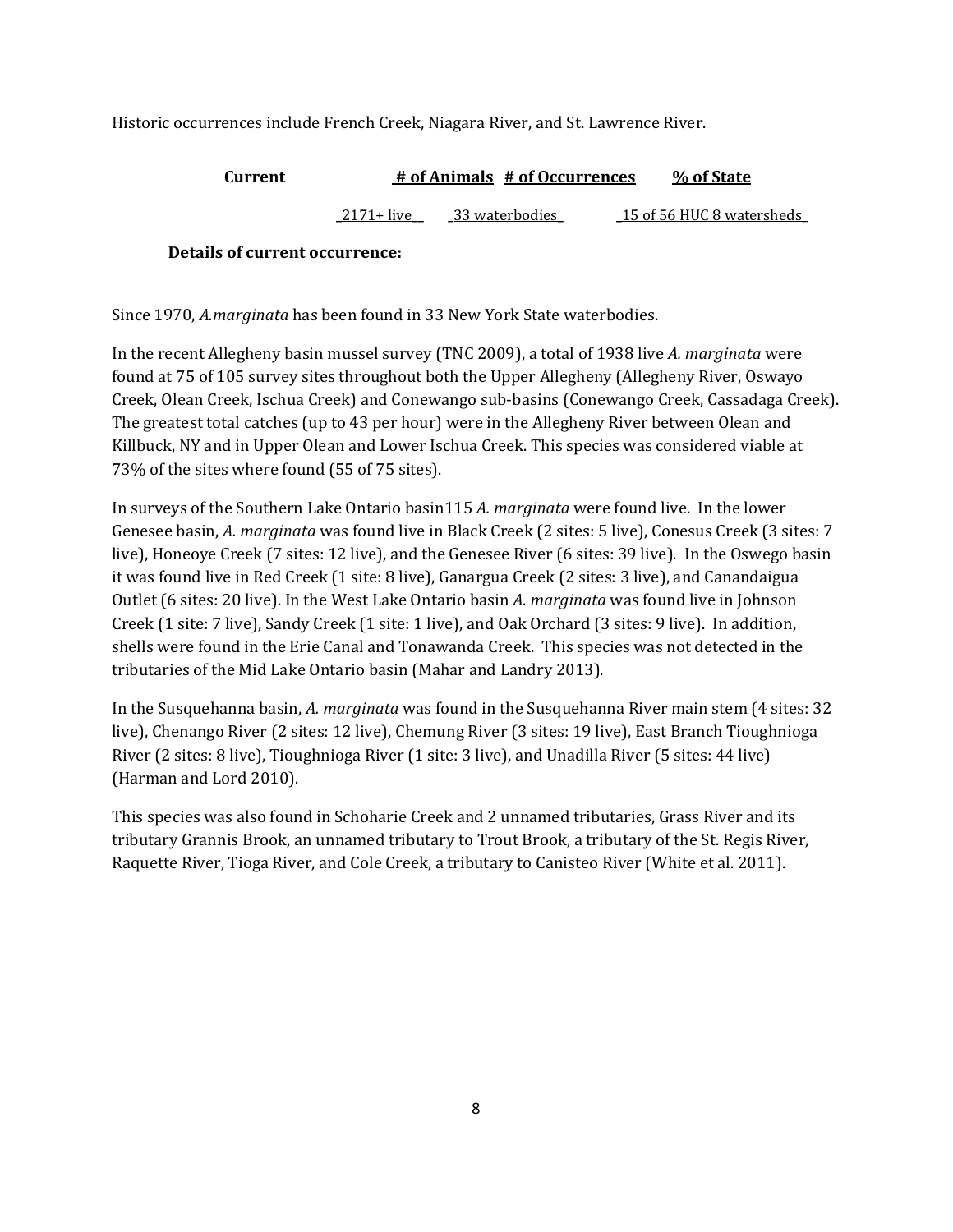Historic occurrences include French Creek, Niagara River, and St. Lawrence River.

| Current | # of Animals # of Occurrences |                | % of State                |
|---------|-------------------------------|----------------|---------------------------|
|         | 2171+ live                    | 33 waterbodies | 15 of 56 HUC 8 watersheds |

## **Details of current occurrence:**

Since 1970, *A.marginata* has been found in 33 New York State waterbodies.

In the recent Allegheny basin mussel survey (TNC 2009), a total of 1938 live *A. marginata* were found at 75 of 105 survey sites throughout both the Upper Allegheny (Allegheny River, Oswayo Creek, Olean Creek, Ischua Creek) and Conewango sub‐basins (Conewango Creek, Cassadaga Creek). The greatest total catches (up to 43 per hour) were in the Allegheny River between Olean and Killbuck, NY and in Upper Olean and Lower Ischua Creek. This species was considered viable at 73% of the sites where found (55 of 75 sites).

In surveys of the Southern Lake Ontario basin115 *A. marginata* were found live. In the lower Genesee basin, *A. marginata* was found live in Black Creek (2 sites: 5 live), Conesus Creek (3 sites: 7 live), Honeoye Creek (7 sites: 12 live), and the Genesee River (6 sites: 39 live). In the Oswego basin it was found live in Red Creek (1 site: 8 live), Ganargua Creek (2 sites: 3 live), and Canandaigua Outlet (6 sites: 20 live). In the West Lake Ontario basin *A. marginata* was found live in Johnson Creek (1 site: 7 live), Sandy Creek (1 site: 1 live), and Oak Orchard (3 sites: 9 live). In addition, shells were found in the Erie Canal and Tonawanda Creek. This species was not detected in the tributaries of the Mid Lake Ontario basin (Mahar and Landry 2013).

In the Susquehanna basin, *A. marginata* was found in the Susquehanna River main stem (4 sites: 32 live), Chenango River (2 sites: 12 live), Chemung River (3 sites: 19 live), East Branch Tioughnioga River (2 sites: 8 live), Tioughnioga River (1 site: 3 live), and Unadilla River (5 sites: 44 live) (Harman and Lord 2010).

This species was also found in Schoharie Creek and 2 unnamed tributaries, Grass River and its tributary Grannis Brook, an unnamed tributary to Trout Brook, a tributary of the St. Regis River, Raquette River, Tioga River, and Cole Creek, a tributary to Canisteo River (White et al. 2011).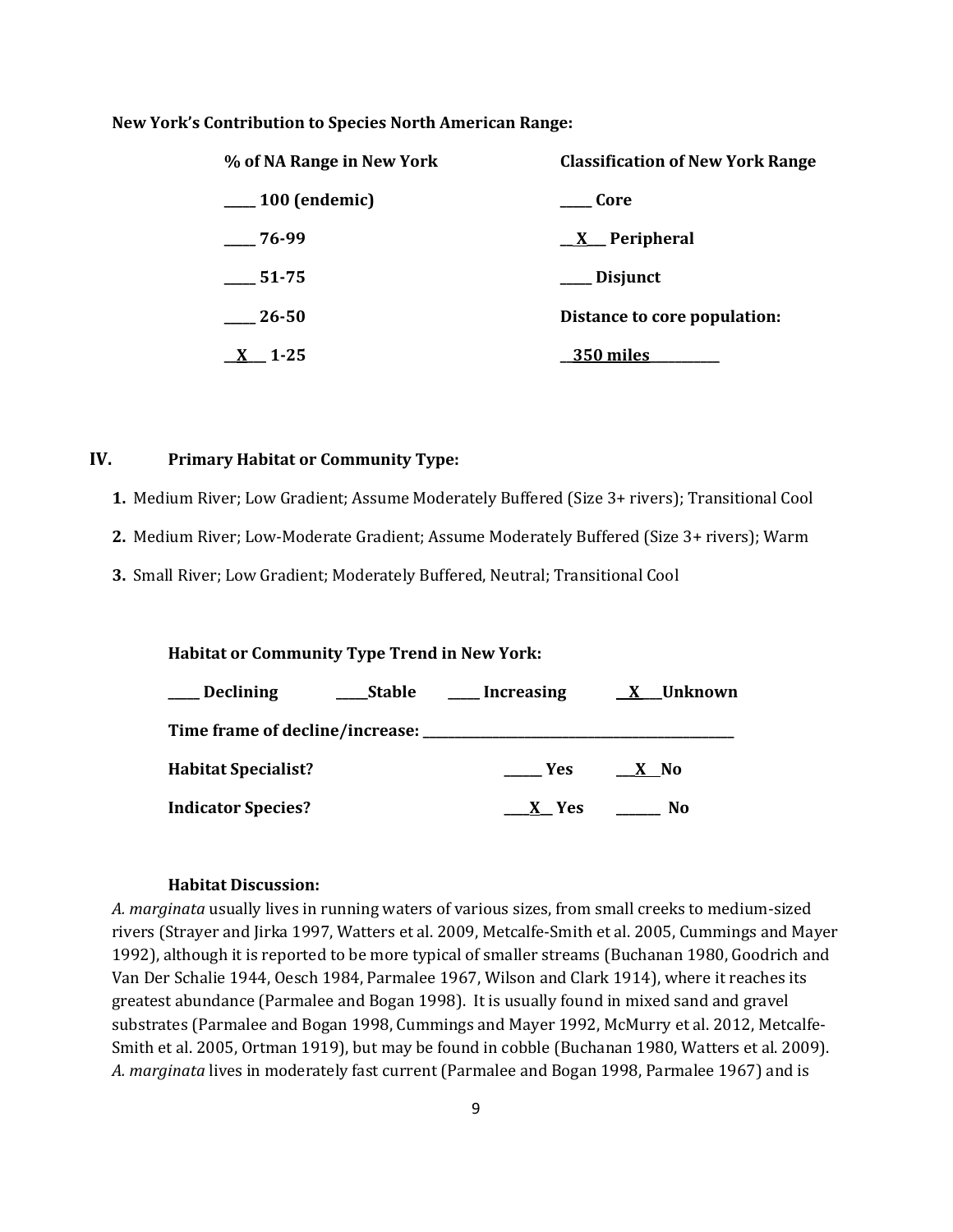#### **New York's Contribution to Species North American Range:**

| % of NA Range in New York | <b>Classification of New York Range</b> |  |  |
|---------------------------|-----------------------------------------|--|--|
| $\sim$ 100 (endemic)      | Core                                    |  |  |
| $-76-99$                  | $\underline{X}$ Peripheral              |  |  |
| 51-75                     | __ Disjunct                             |  |  |
| $\_\_26-50$               | Distance to core population:            |  |  |
| $1 - 25$                  | <b>350 miles</b>                        |  |  |

## **IV. Primary Habitat or Community Type:**

**1.** Medium River; Low Gradient; Assume Moderately Buffered (Size 3+ rivers); Transitional Cool

**2.** Medium River; Low-Moderate Gradient; Assume Moderately Buffered (Size 3+ rivers); Warm

**3.** Small River; Low Gradient; Moderately Buffered, Neutral; Transitional Cool

#### **Habitat or Community Type Trend in New York:**

| <b>Declining</b>                     | <b>Stable</b> | Increasing | X Unknown |  |
|--------------------------------------|---------------|------------|-----------|--|
| Time frame of decline/increase: ____ |               |            |           |  |
| <b>Habitat Specialist?</b>           |               | <b>Yes</b> | X No      |  |
| <b>Indicator Species?</b>            |               | X Yes      | No        |  |

### **Habitat Discussion:**

*A. marginata* usually lives in running waters of various sizes, from small creeks to medium-sized rivers (Strayer and Jirka 1997, Watters et al. 2009, Metcalfe-Smith et al. 2005, Cummings and Mayer 1992), although it is reported to be more typical of smaller streams (Buchanan 1980, Goodrich and Van Der Schalie 1944, Oesch 1984, Parmalee 1967, Wilson and Clark 1914), where it reaches its greatest abundance (Parmalee and Bogan 1998). It is usually found in mixed sand and gravel substrates (Parmalee and Bogan 1998, Cummings and Mayer 1992, McMurry et al. 2012, Metcalfe-Smith et al. 2005, Ortman 1919), but may be found in cobble (Buchanan 1980, Watters et al. 2009). *A. marginata* lives in moderately fast current (Parmalee and Bogan 1998, Parmalee 1967) and is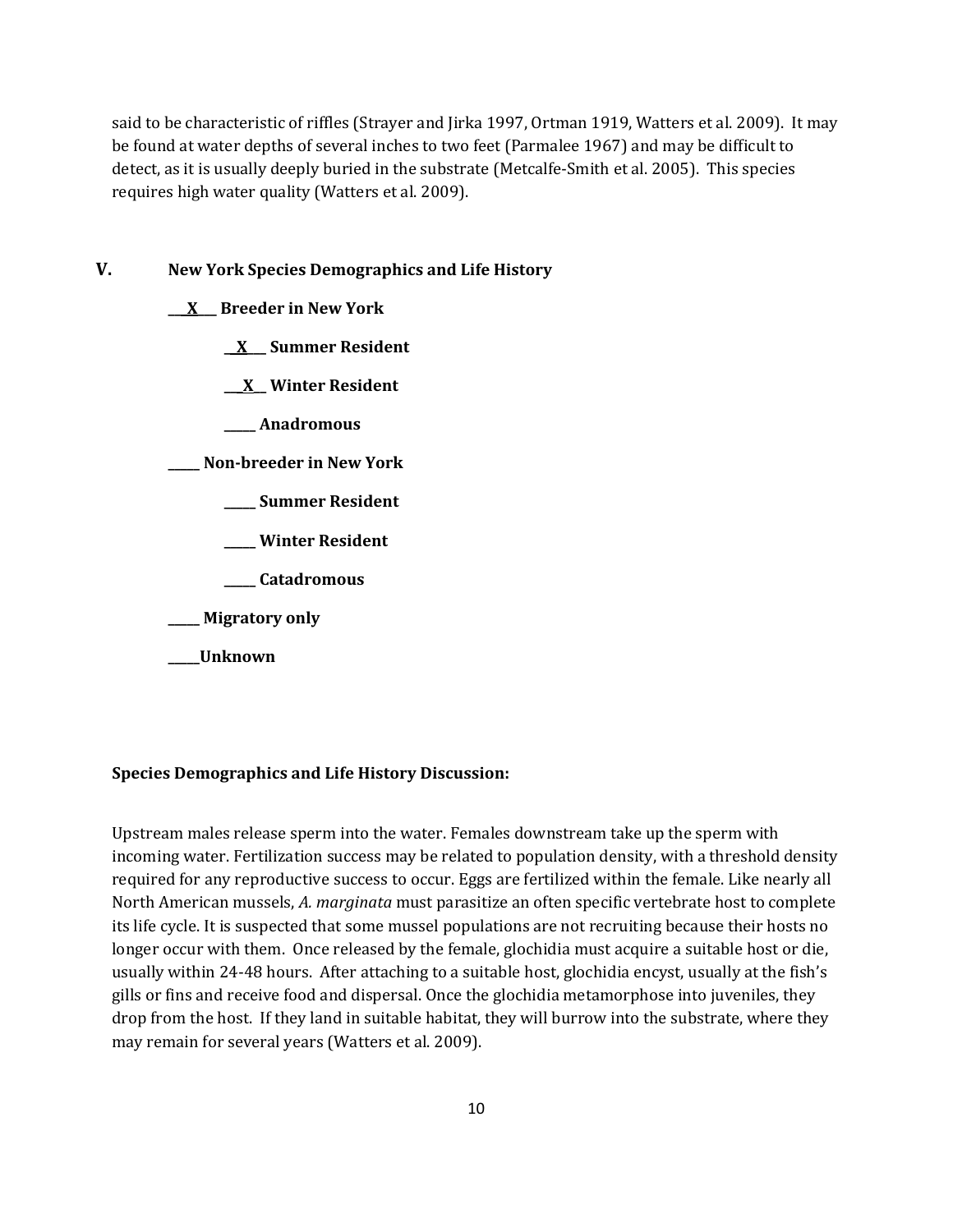said to be characteristic of riffles (Strayer and Jirka 1997, Ortman 1919, Watters et al. 2009). It may be found at water depths of several inches to two feet (Parmalee 1967) and may be difficult to detect, as it is usually deeply buried in the substrate (Metcalfe-Smith et al. 2005). This species requires high water quality (Watters et al. 2009).

**V. New York Species Demographics and Life History**

**\_\_\_X\_\_\_ Breeder in New York**

**\_\_X\_\_\_ Summer Resident**

**\_\_\_X\_\_ Winter Resident**

**\_\_\_\_\_ Anadromous**

**\_\_\_\_\_ Non-breeder in New York**

- **\_\_\_\_\_ Summer Resident**
- **\_\_\_\_\_ Winter Resident**
- **\_\_\_\_\_ Catadromous**
- **\_\_\_\_\_ Migratory only**
- **\_\_\_\_\_Unknown**

## **Species Demographics and Life History Discussion:**

Upstream males release sperm into the water. Females downstream take up the sperm with incoming water. Fertilization success may be related to population density, with a threshold density required for any reproductive success to occur. Eggs are fertilized within the female. Like nearly all North American mussels, *A. marginata* must parasitize an often specific vertebrate host to complete its life cycle. It is suspected that some mussel populations are not recruiting because their hosts no longer occur with them. Once released by the female, glochidia must acquire a suitable host or die, usually within 24-48 hours. After attaching to a suitable host, glochidia encyst, usually at the fish's gills or fins and receive food and dispersal. Once the glochidia metamorphose into juveniles, they drop from the host. If they land in suitable habitat, they will burrow into the substrate, where they may remain for several years (Watters et al. 2009).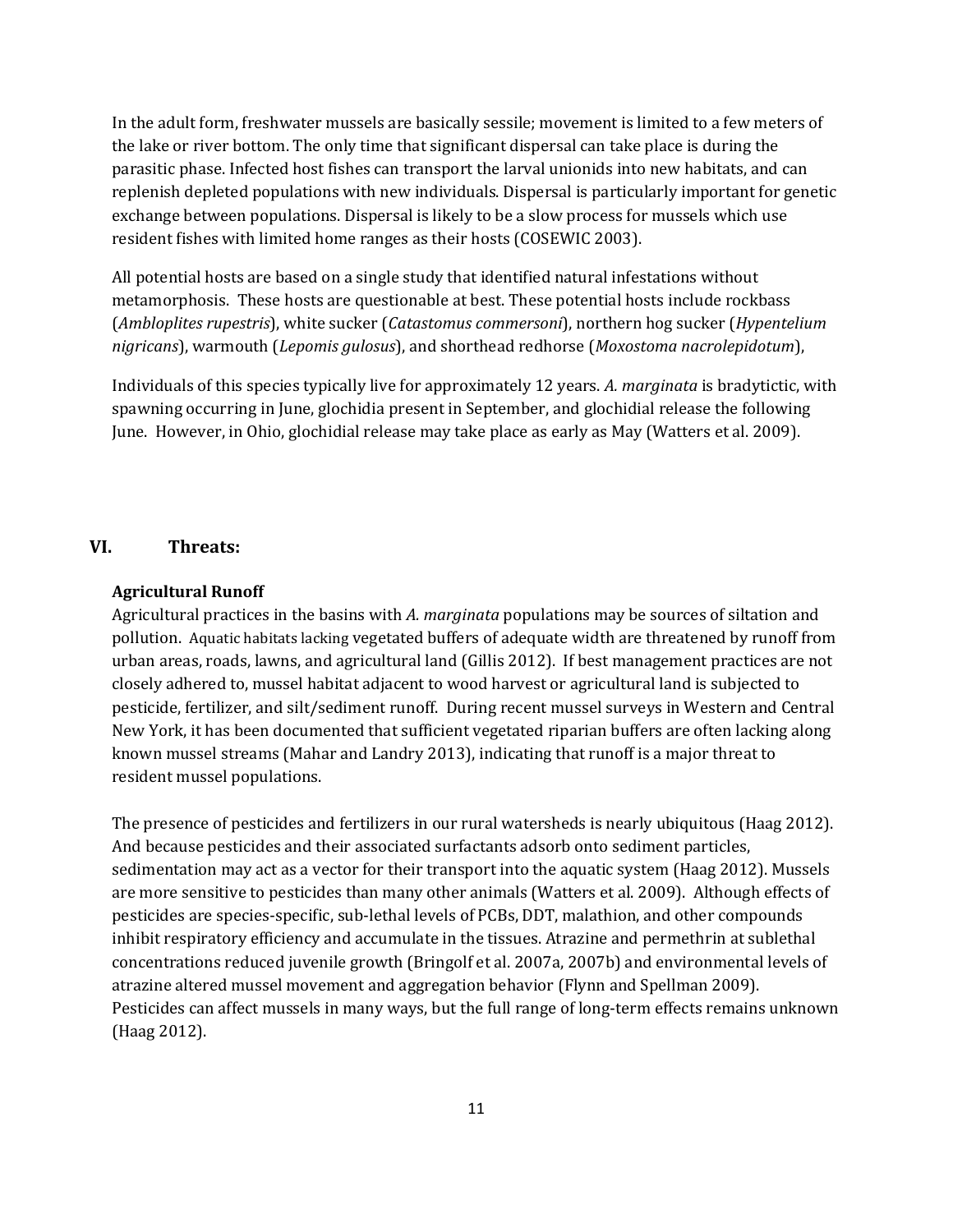In the adult form, freshwater mussels are basically sessile; movement is limited to a few meters of the lake or river bottom. The only time that significant dispersal can take place is during the parasitic phase. Infected host fishes can transport the larval unionids into new habitats, and can replenish depleted populations with new individuals. Dispersal is particularly important for genetic exchange between populations. Dispersal is likely to be a slow process for mussels which use resident fishes with limited home ranges as their hosts (COSEWIC 2003).

All potential hosts are based on a single study that identified natural infestations without metamorphosis. These hosts are questionable at best. These potential hosts include rockbass (*Ambloplites rupestris*), white sucker (*Catastomus commersoni*), northern hog sucker (*Hypentelium nigricans*), warmouth (*Lepomis gulosus*), and shorthead redhorse (*Moxostoma nacrolepidotum*),

Individuals of this species typically live for approximately 12 years. *A. marginata* is bradytictic, with spawning occurring in June, glochidia present in September, and glochidial release the following June. However, in Ohio, glochidial release may take place as early as May (Watters et al. 2009).

## **VI. Threats:**

### **Agricultural Runoff**

Agricultural practices in the basins with *A. marginata* populations may be sources of siltation and pollution. Aquatic habitats lacking vegetated buffers of adequate width are threatened by runoff from urban areas, roads, lawns, and agricultural land (Gillis 2012). If best management practices are not closely adhered to, mussel habitat adjacent to wood harvest or agricultural land is subjected to pesticide, fertilizer, and silt/sediment runoff. During recent mussel surveys in Western and Central New York, it has been documented that sufficient vegetated riparian buffers are often lacking along known mussel streams (Mahar and Landry 2013), indicating that runoff is a major threat to resident mussel populations.

The presence of pesticides and fertilizers in our rural watersheds is nearly ubiquitous (Haag 2012). And because pesticides and their associated surfactants adsorb onto sediment particles, sedimentation may act as a vector for their transport into the aquatic system (Haag 2012). Mussels are more sensitive to pesticides than many other animals (Watters et al. 2009). Although effects of pesticides are species-specific, sub-lethal levels of PCBs, DDT, malathion, and other compounds inhibit respiratory efficiency and accumulate in the tissues. Atrazine and permethrin at sublethal concentrations reduced juvenile growth (Bringolf et al. 2007a, 2007b) and environmental levels of atrazine altered mussel movement and aggregation behavior (Flynn and Spellman 2009). Pesticides can affect mussels in many ways, but the full range of long-term effects remains unknown (Haag 2012).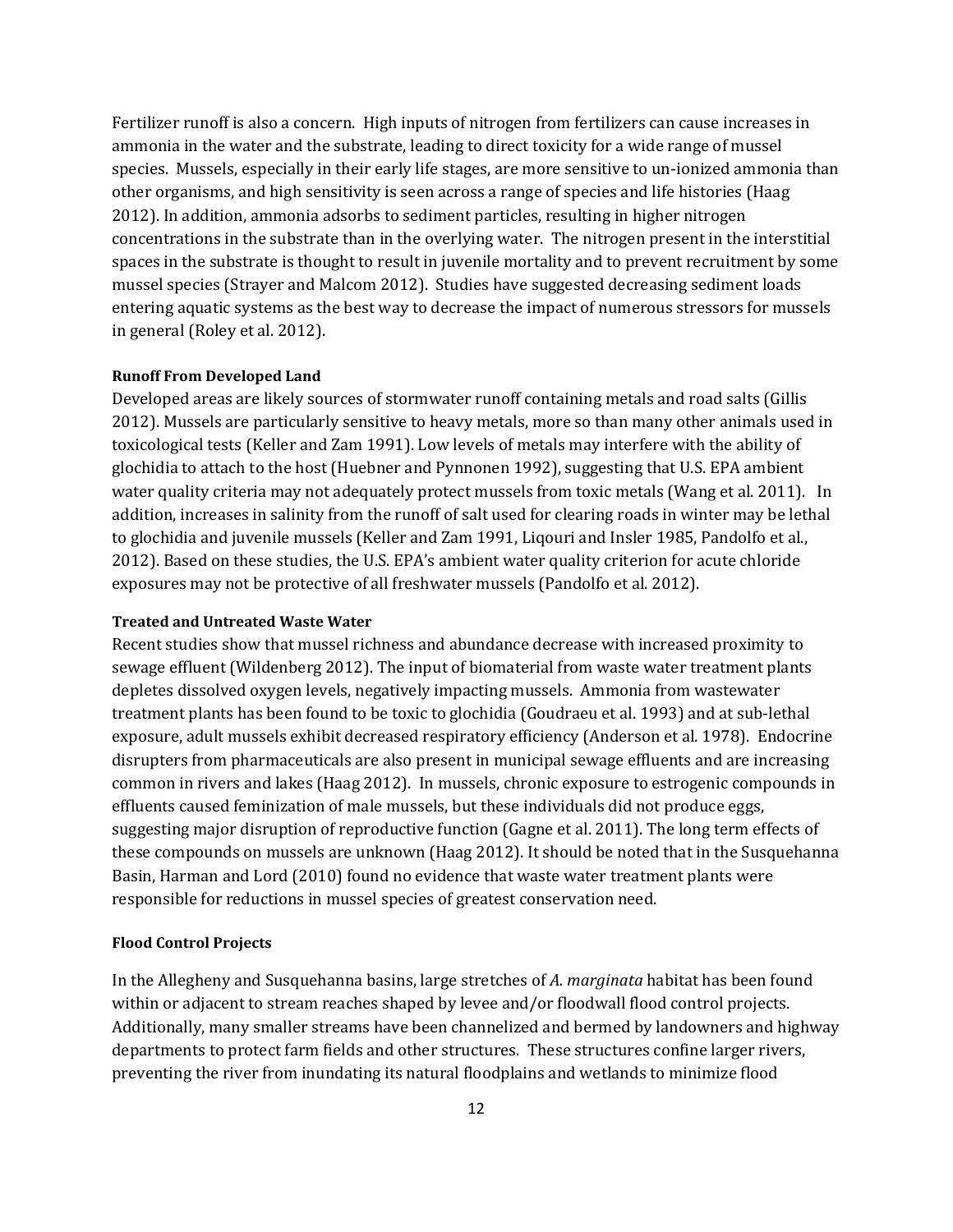Fertilizer runoff is also a concern. High inputs of nitrogen from fertilizers can cause increases in ammonia in the water and the substrate, leading to direct toxicity for a wide range of mussel species. Mussels, especially in their early life stages, are more sensitive to un-ionized ammonia than other organisms, and high sensitivity is seen across a range of species and life histories (Haag 2012). In addition, ammonia adsorbs to sediment particles, resulting in higher nitrogen concentrations in the substrate than in the overlying water. The nitrogen present in the interstitial spaces in the substrate is thought to result in juvenile mortality and to prevent recruitment by some mussel species (Strayer and Malcom 2012). Studies have suggested decreasing sediment loads entering aquatic systems as the best way to decrease the impact of numerous stressors for mussels in general (Roley et al. 2012).

#### **Runoff From Developed Land**

Developed areas are likely sources of stormwater runoff containing metals and road salts (Gillis 2012). Mussels are particularly sensitive to heavy metals, more so than many other animals used in toxicological tests (Keller and Zam 1991). Low levels of metals may interfere with the ability of glochidia to attach to the host (Huebner and Pynnonen 1992), suggesting that U.S. EPA ambient water quality criteria may not adequately protect mussels from toxic metals (Wang et al. 2011). In addition, increases in salinity from the runoff of salt used for clearing roads in winter may be lethal to glochidia and juvenile mussels (Keller and Zam 1991, Liqouri and Insler 1985, Pandolfo et al., 2012). Based on these studies, the U.S. EPA's ambient water quality criterion for acute chloride exposures may not be protective of all freshwater mussels (Pandolfo et al. 2012).

#### **Treated and Untreated Waste Water**

Recent studies show that mussel richness and abundance decrease with increased proximity to sewage effluent (Wildenberg 2012). The input of biomaterial from waste water treatment plants depletes dissolved oxygen levels, negatively impacting mussels. Ammonia from wastewater treatment plants has been found to be toxic to glochidia (Goudraeu et al. 1993) and at sub-lethal exposure, adult mussels exhibit decreased respiratory efficiency (Anderson et al*.* 1978). Endocrine disrupters from pharmaceuticals are also present in municipal sewage effluents and are increasing common in rivers and lakes (Haag 2012). In mussels, chronic exposure to estrogenic compounds in effluents caused feminization of male mussels, but these individuals did not produce eggs, suggesting major disruption of reproductive function (Gagne et al. 2011). The long term effects of these compounds on mussels are unknown (Haag 2012). It should be noted that in the Susquehanna Basin, Harman and Lord (2010) found no evidence that waste water treatment plants were responsible for reductions in mussel species of greatest conservation need.

#### **Flood Control Projects**

In the Allegheny and Susquehanna basins, large stretches of *A. marginata* habitat has been found within or adjacent to stream reaches shaped by levee and/or floodwall flood control projects. Additionally, many smaller streams have been channelized and bermed by landowners and highway departments to protect farm fields and other structures. These structures confine larger rivers, preventing the river from inundating its natural floodplains and wetlands to minimize flood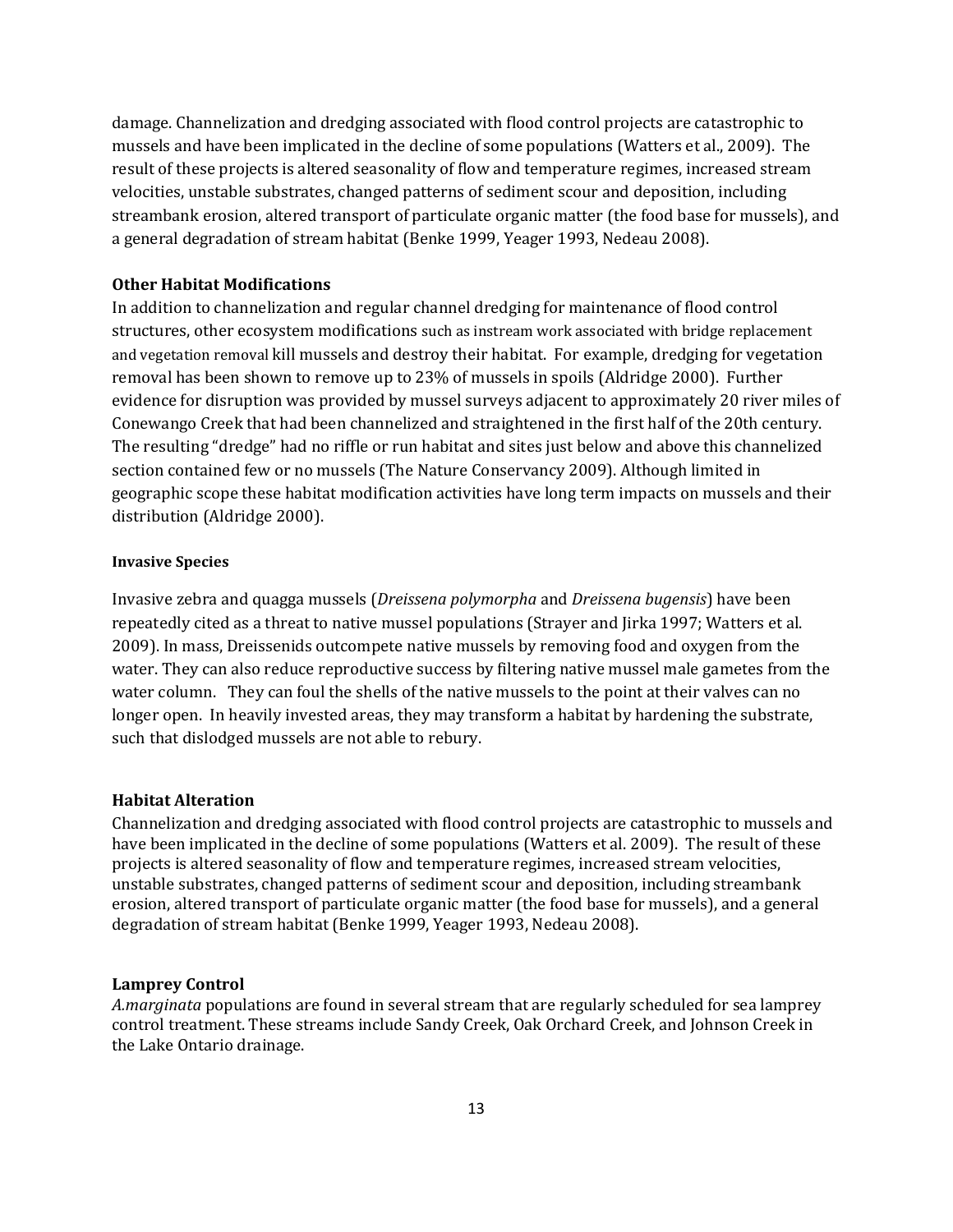damage. Channelization and dredging associated with flood control projects are catastrophic to mussels and have been implicated in the decline of some populations (Watters et al., 2009). The result of these projects is altered seasonality of flow and temperature regimes, increased stream velocities, unstable substrates, changed patterns of sediment scour and deposition, including streambank erosion, altered transport of particulate organic matter (the food base for mussels), and a general degradation of stream habitat (Benke 1999, Yeager 1993, Nedeau 2008).

## **Other Habitat Modifications**

In addition to channelization and regular channel dredging for maintenance of flood control structures, other ecosystem modifications such as instream work associated with bridge replacement and vegetation removal kill mussels and destroy their habitat. For example, dredging for vegetation removal has been shown to remove up to 23% of mussels in spoils (Aldridge 2000). Further evidence for disruption was provided by mussel surveys adjacent to approximately 20 river miles of Conewango Creek that had been channelized and straightened in the first half of the 20th century. The resulting "dredge" had no riffle or run habitat and sites just below and above this channelized section contained few or no mussels (The Nature Conservancy 2009). Although limited in geographic scope these habitat modification activities have long term impacts on mussels and their distribution (Aldridge 2000).

#### **Invasive Species**

Invasive zebra and quagga mussels (*Dreissena polymorpha* and *Dreissena bugensis*) have been repeatedly cited as a threat to native mussel populations (Strayer and Jirka 1997; Watters et al. 2009). In mass, Dreissenids outcompete native mussels by removing food and oxygen from the water. They can also reduce reproductive success by filtering native mussel male gametes from the water column. They can foul the shells of the native mussels to the point at their valves can no longer open. In heavily invested areas, they may transform a habitat by hardening the substrate, such that dislodged mussels are not able to rebury.

## **Habitat Alteration**

Channelization and dredging associated with flood control projects are catastrophic to mussels and have been implicated in the decline of some populations (Watters et al. 2009). The result of these projects is altered seasonality of flow and temperature regimes, increased stream velocities, unstable substrates, changed patterns of sediment scour and deposition, including streambank erosion, altered transport of particulate organic matter (the food base for mussels), and a general degradation of stream habitat (Benke 1999, Yeager 1993, Nedeau 2008).

#### **Lamprey Control**

*A.marginata* populations are found in several stream that are regularly scheduled for sea lamprey control treatment. These streams include Sandy Creek, Oak Orchard Creek, and Johnson Creek in the Lake Ontario drainage.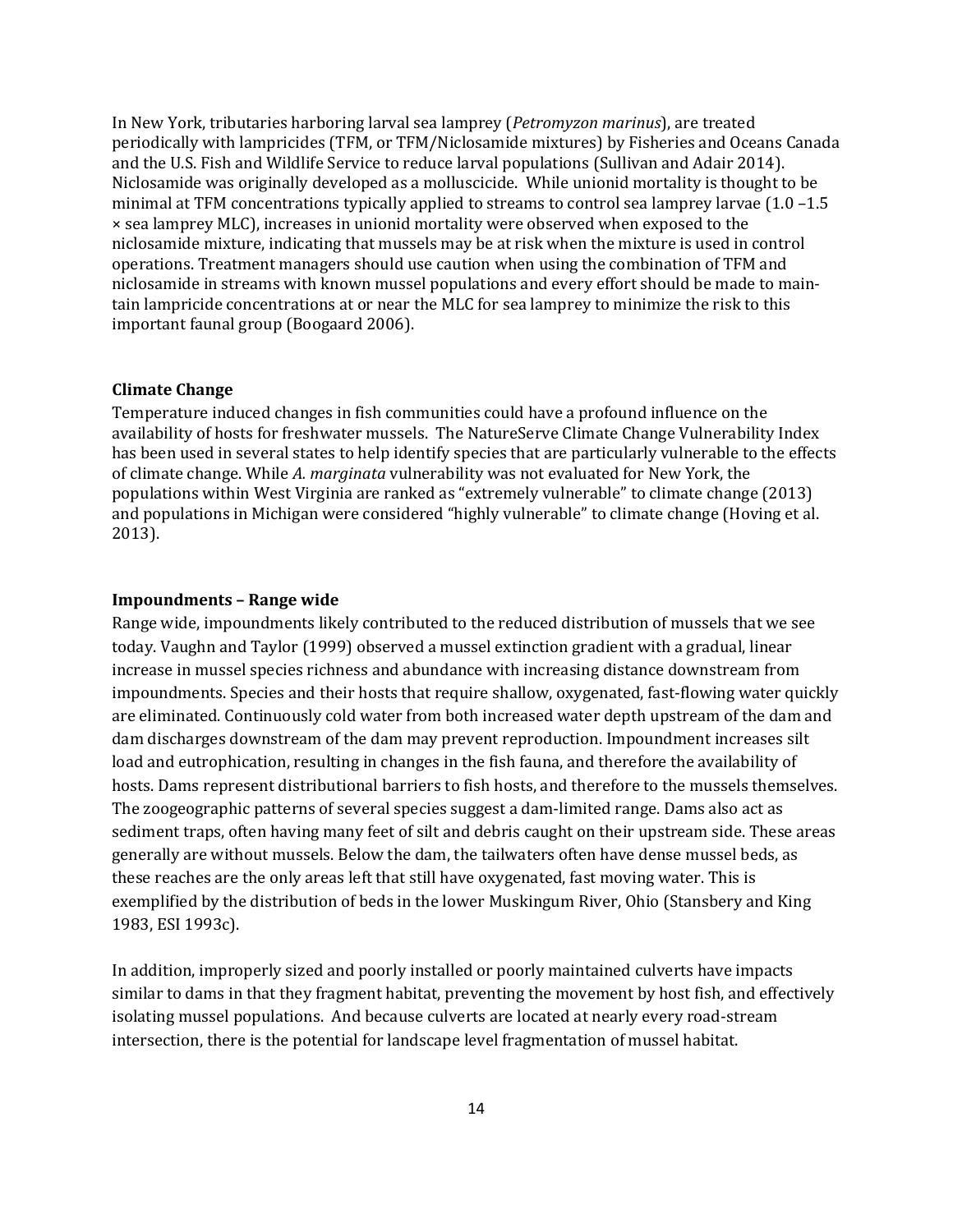In New York, tributaries harboring larval sea lamprey (*Petromyzon marinus*), are treated periodically with lampricides (TFM, or TFM/Niclosamide mixtures) by Fisheries and Oceans Canada and the U.S. Fish and Wildlife Service to reduce larval populations (Sullivan and Adair 2014). Niclosamide was originally developed as a molluscicide. While unionid mortality is thought to be minimal at TFM concentrations typically applied to streams to control sea lamprey larvae (1.0 –1.5 × sea lamprey MLC), increases in unionid mortality were observed when exposed to the niclosamide mixture, indicating that mussels may be at risk when the mixture is used in control operations. Treatment managers should use caution when using the combination of TFM and niclosamide in streams with known mussel populations and every effort should be made to maintain lampricide concentrations at or near the MLC for sea lamprey to minimize the risk to this important faunal group (Boogaard 2006).

#### **Climate Change**

Temperature induced changes in fish communities could have a profound influence on the availability of hosts for freshwater mussels. The NatureServe Climate Change Vulnerability Index has been used in several states to help identify species that are particularly vulnerable to the effects of climate change. While *A. marginata* vulnerability was not evaluated for New York, the populations within West Virginia are ranked as "extremely vulnerable" to climate change (2013) and populations in Michigan were considered "highly vulnerable" to climate change (Hoving et al. 2013).

#### **Impoundments – Range wide**

Range wide, impoundments likely contributed to the reduced distribution of mussels that we see today. Vaughn and Taylor (1999) observed a mussel extinction gradient with a gradual, linear increase in mussel species richness and abundance with increasing distance downstream from impoundments. Species and their hosts that require shallow, oxygenated, fast-flowing water quickly are eliminated. Continuously cold water from both increased water depth upstream of the dam and dam discharges downstream of the dam may prevent reproduction. Impoundment increases silt load and eutrophication, resulting in changes in the fish fauna, and therefore the availability of hosts. Dams represent distributional barriers to fish hosts, and therefore to the mussels themselves. The zoogeographic patterns of several species suggest a dam-limited range. Dams also act as sediment traps, often having many feet of silt and debris caught on their upstream side. These areas generally are without mussels. Below the dam, the tailwaters often have dense mussel beds, as these reaches are the only areas left that still have oxygenated, fast moving water. This is exemplified by the distribution of beds in the lower Muskingum River, Ohio (Stansbery and King 1983, ESI 1993c).

In addition, improperly sized and poorly installed or poorly maintained culverts have impacts similar to dams in that they fragment habitat, preventing the movement by host fish, and effectively isolating mussel populations. And because culverts are located at nearly every road-stream intersection, there is the potential for landscape level fragmentation of mussel habitat.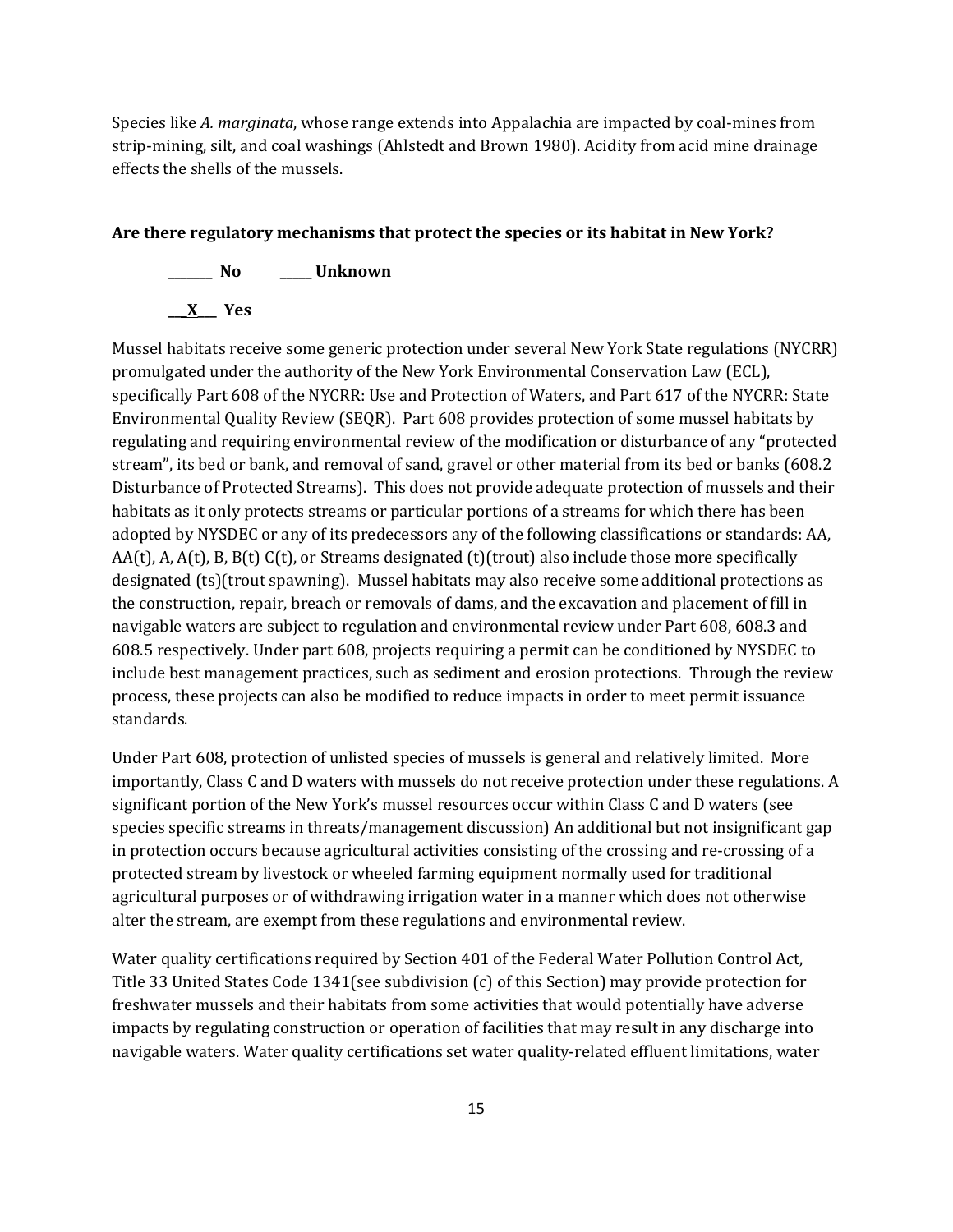Species like *A. marginata*, whose range extends into Appalachia are impacted by coal-mines from strip-mining, silt, and coal washings (Ahlstedt and Brown 1980). Acidity from acid mine drainage effects the shells of the mussels.

#### **Are there regulatory mechanisms that protect the species or its habitat in New York?**



Mussel habitats receive some generic protection under several New York State regulations (NYCRR) promulgated under the authority of the New York Environmental Conservation Law (ECL), specifically Part 608 of the NYCRR: Use and Protection of Waters, and Part 617 of the NYCRR: State Environmental Quality Review (SEQR). Part 608 provides protection of some mussel habitats by regulating and requiring environmental review of the modification or disturbance of any "protected stream", its bed or bank, and removal of sand, gravel or other material from its bed or banks (608.2 Disturbance of Protected Streams). This does not provide adequate protection of mussels and their habitats as it only protects streams or particular portions of a streams for which there has been adopted by NYSDEC or any of its predecessors any of the following classifications or standards: AA,  $AA(t)$ , A,  $A(t)$ , B,  $B(t)$  C(t), or Streams designated (t)(trout) also include those more specifically designated (ts)(trout spawning). Mussel habitats may also receive some additional protections as the construction, repair, breach or removals of dams, and the excavation and placement of fill in navigable waters are subject to regulation and environmental review under Part 608, 608.3 and 608.5 respectively. Under part 608, projects requiring a permit can be conditioned by NYSDEC to include best management practices, such as sediment and erosion protections. Through the review process, these projects can also be modified to reduce impacts in order to meet permit issuance standards.

Under Part 608, protection of unlisted species of mussels is general and relatively limited. More importantly, Class C and D waters with mussels do not receive protection under these regulations. A significant portion of the New York's mussel resources occur within Class C and D waters (see species specific streams in threats/management discussion) An additional but not insignificant gap in protection occurs because agricultural activities consisting of the crossing and re-crossing of a protected stream by livestock or wheeled farming equipment normally used for traditional agricultural purposes or of withdrawing irrigation water in a manner which does not otherwise alter the stream, are exempt from these regulations and environmental review.

Water quality certifications required by Section 401 of the Federal Water Pollution Control Act, Title 33 United States Code 1341(see subdivision (c) of this Section) may provide protection for freshwater mussels and their habitats from some activities that would potentially have adverse impacts by regulating construction or operation of facilities that may result in any discharge into navigable waters. Water quality certifications set water quality-related effluent limitations, water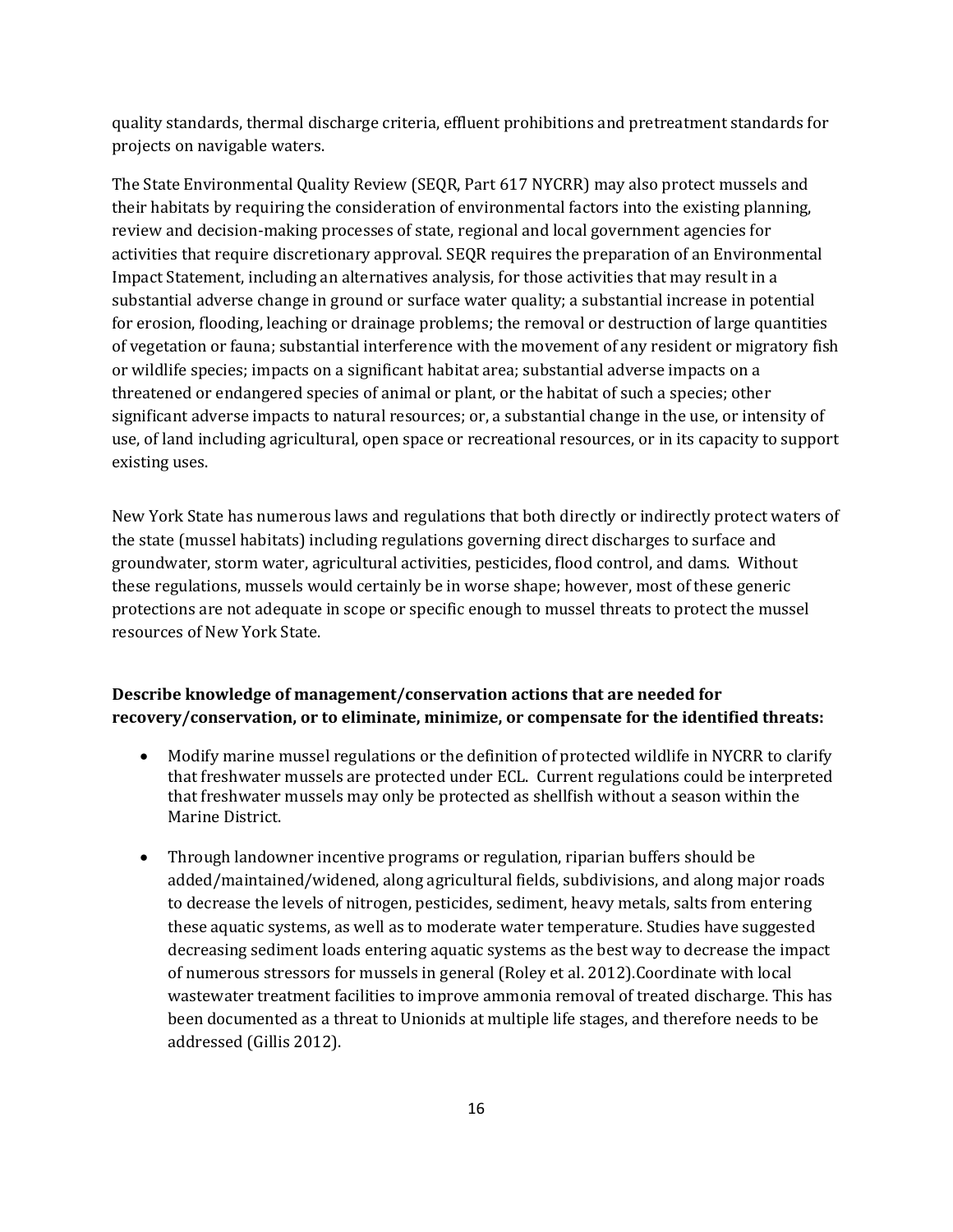quality standards, thermal discharge criteria, effluent prohibitions and pretreatment standards for projects on navigable waters.

The State Environmental Quality Review (SEQR, Part 617 NYCRR) may also protect mussels and their habitats by requiring the consideration of environmental factors into the existing planning, review and decision-making processes of state, regional and local government agencies for activities that require discretionary approval. SEQR requires the preparation of an Environmental Impact Statement, including an alternatives analysis, for those activities that may result in a substantial adverse change in ground or surface water quality; a substantial increase in potential for erosion, flooding, leaching or drainage problems; the removal or destruction of large quantities of vegetation or fauna; substantial interference with the movement of any resident or migratory fish or wildlife species; impacts on a significant habitat area; substantial adverse impacts on a threatened or endangered species of animal or plant, or the habitat of such a species; other significant adverse impacts to natural resources; or, a substantial change in the use, or intensity of use, of land including agricultural, open space or recreational resources, or in its capacity to support existing uses.

New York State has numerous laws and regulations that both directly or indirectly protect waters of the state (mussel habitats) including regulations governing direct discharges to surface and groundwater, storm water, agricultural activities, pesticides, flood control, and dams. Without these regulations, mussels would certainly be in worse shape; however, most of these generic protections are not adequate in scope or specific enough to mussel threats to protect the mussel resources of New York State.

# **Describe knowledge of management/conservation actions that are needed for recovery/conservation, or to eliminate, minimize, or compensate for the identified threats:**

- Modify marine mussel regulations or the definition of protected wildlife in NYCRR to clarify that freshwater mussels are protected under ECL. Current regulations could be interpreted that freshwater mussels may only be protected as shellfish without a season within the Marine District.
- Through landowner incentive programs or regulation, riparian buffers should be added/maintained/widened, along agricultural fields, subdivisions, and along major roads to decrease the levels of nitrogen, pesticides, sediment, heavy metals, salts from entering these aquatic systems, as well as to moderate water temperature. Studies have suggested decreasing sediment loads entering aquatic systems as the best way to decrease the impact of numerous stressors for mussels in general (Roley et al. 2012).Coordinate with local wastewater treatment facilities to improve ammonia removal of treated discharge. This has been documented as a threat to Unionids at multiple life stages, and therefore needs to be addressed (Gillis 2012).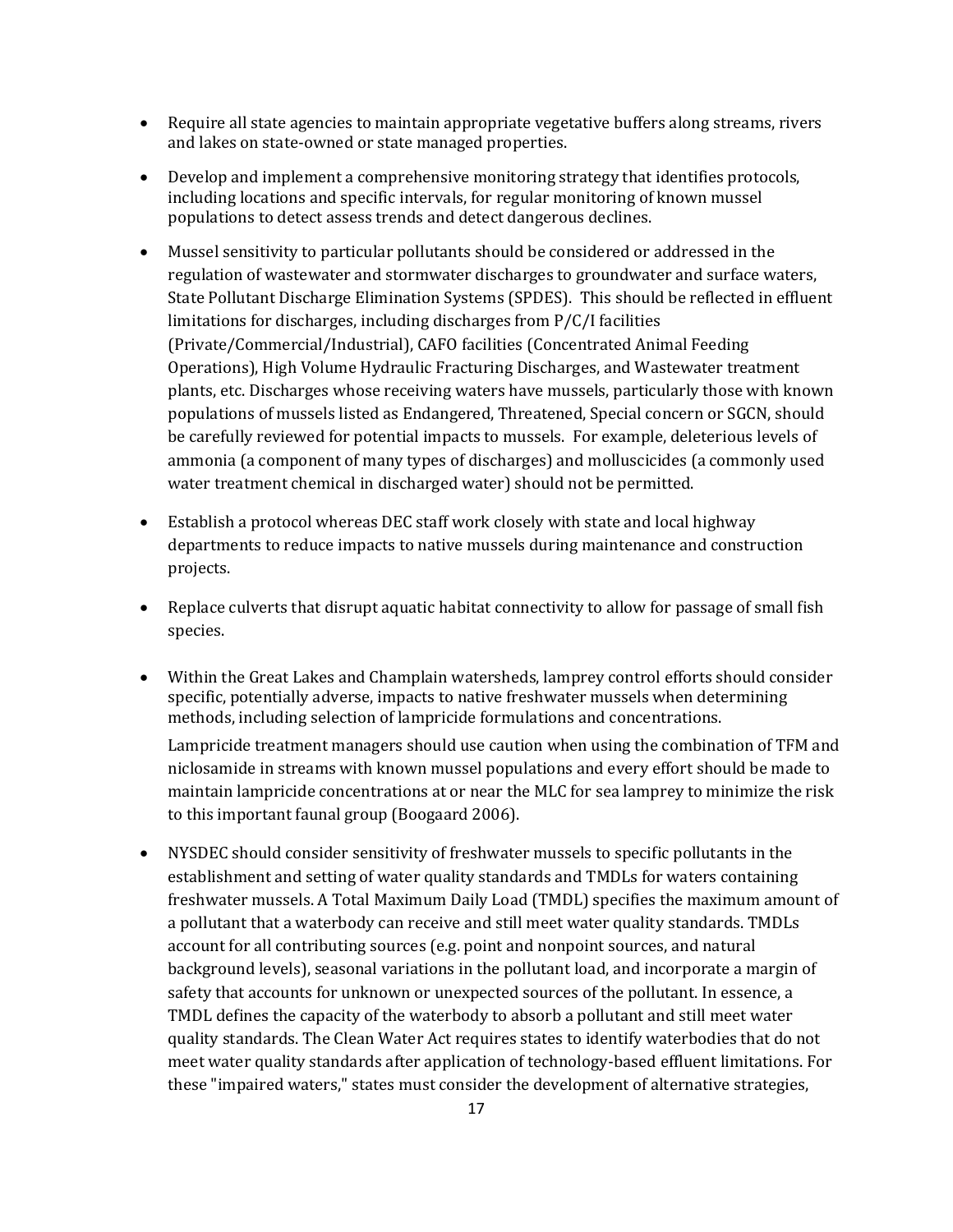- Require all state agencies to maintain appropriate vegetative buffers along streams, rivers and lakes on state-owned or state managed properties.
- Develop and implement a comprehensive monitoring strategy that identifies protocols, including locations and specific intervals, for regular monitoring of known mussel populations to detect assess trends and detect dangerous declines.
- Mussel sensitivity to particular pollutants should be considered or addressed in the regulation of wastewater and stormwater discharges to groundwater and surface waters, State Pollutant Discharge Elimination Systems (SPDES). This should be reflected in effluent limitations for discharges, including discharges from P/C/I facilities (Private/Commercial/Industrial), CAFO facilities (Concentrated Animal Feeding Operations), High Volume Hydraulic Fracturing Discharges, and Wastewater treatment plants, etc. Discharges whose receiving waters have mussels, particularly those with known populations of mussels listed as Endangered, Threatened, Special concern or SGCN, should be carefully reviewed for potential impacts to mussels. For example, deleterious levels of ammonia (a component of many types of discharges) and molluscicides (a commonly used water treatment chemical in discharged water) should not be permitted.
- Establish a protocol whereas DEC staff work closely with state and local highway departments to reduce impacts to native mussels during maintenance and construction projects.
- Replace culverts that disrupt aquatic habitat connectivity to allow for passage of small fish species.
- Within the Great Lakes and Champlain watersheds, lamprey control efforts should consider specific, potentially adverse, impacts to native freshwater mussels when determining methods, including selection of lampricide formulations and concentrations.

Lampricide treatment managers should use caution when using the combination of TFM and niclosamide in streams with known mussel populations and every effort should be made to maintain lampricide concentrations at or near the MLC for sea lamprey to minimize the risk to this important faunal group (Boogaard 2006).

• NYSDEC should consider sensitivity of freshwater mussels to specific pollutants in the establishment and setting of water quality standards and TMDLs for waters containing freshwater mussels. A Total Maximum Daily Load (TMDL) specifies the maximum amount of a pollutant that a waterbody can receive and still meet water quality standards. TMDLs account for all contributing sources (e.g. point and nonpoint sources, and natural background levels), seasonal variations in the pollutant load, and incorporate a margin of safety that accounts for unknown or unexpected sources of the pollutant. In essence, a TMDL defines the capacity of the waterbody to absorb a pollutant and still meet water quality standards. The Clean Water Act requires states to identify waterbodies that do not meet water quality standards after application of technology-based effluent limitations. For these "impaired waters," states must consider the development of alternative strategies,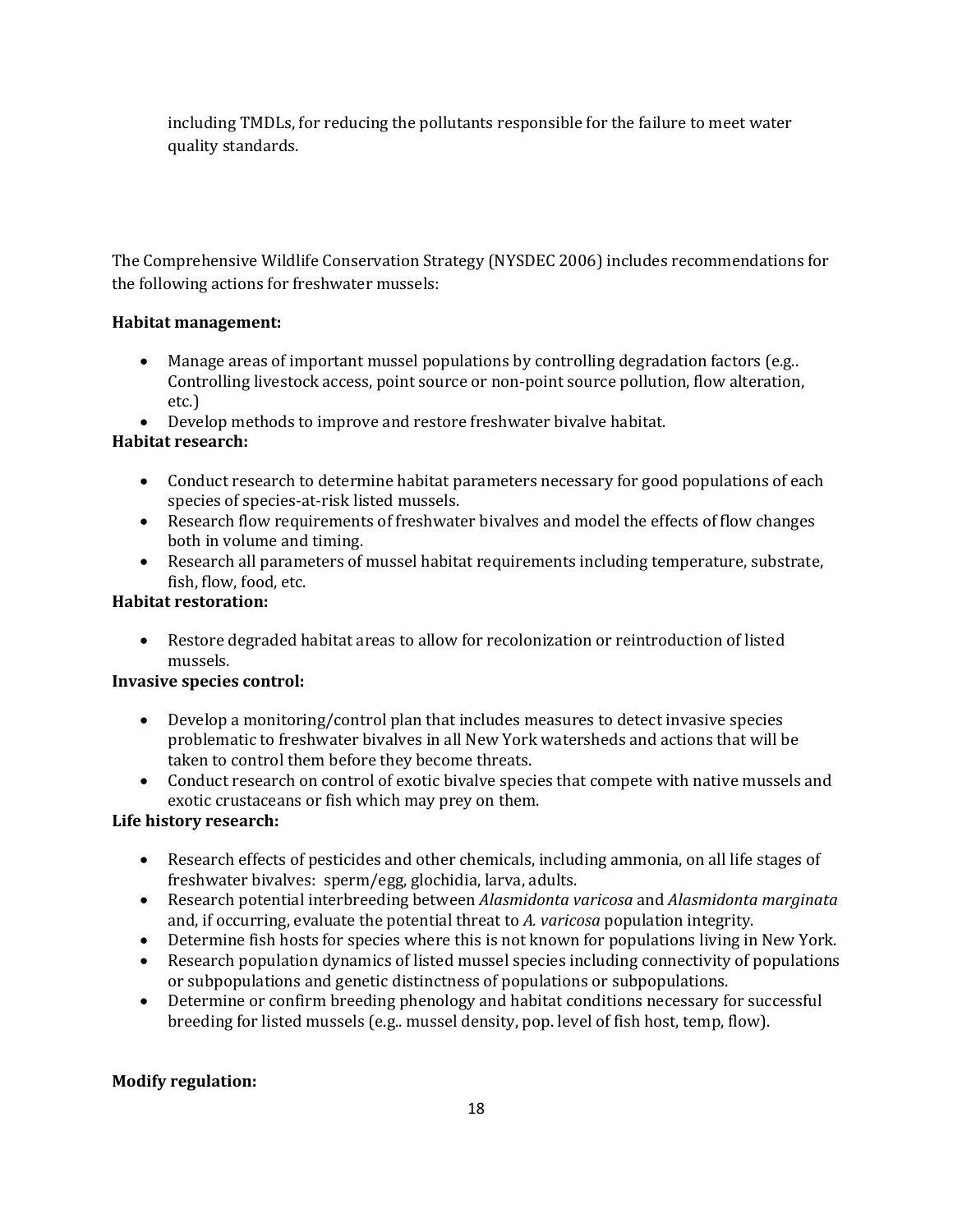including TMDLs, for reducing the pollutants responsible for the failure to meet water quality standards.

The Comprehensive Wildlife Conservation Strategy (NYSDEC 2006) includes recommendations for the following actions for freshwater mussels:

# **Habitat management:**

- Manage areas of important mussel populations by controlling degradation factors (e.g.. Controlling livestock access, point source or non-point source pollution, flow alteration, etc.)
- Develop methods to improve and restore freshwater bivalve habitat.

# **Habitat research:**

- Conduct research to determine habitat parameters necessary for good populations of each species of species-at-risk listed mussels.
- Research flow requirements of freshwater bivalves and model the effects of flow changes both in volume and timing.
- Research all parameters of mussel habitat requirements including temperature, substrate, fish, flow, food, etc.

# **Habitat restoration:**

• Restore degraded habitat areas to allow for recolonization or reintroduction of listed mussels.

# **Invasive species control:**

- Develop a monitoring/control plan that includes measures to detect invasive species problematic to freshwater bivalves in all New York watersheds and actions that will be taken to control them before they become threats.
- Conduct research on control of exotic bivalve species that compete with native mussels and exotic crustaceans or fish which may prey on them.

# **Life history research:**

- Research effects of pesticides and other chemicals, including ammonia, on all life stages of freshwater bivalves: sperm/egg, glochidia, larva, adults.
- Research potential interbreeding between *Alasmidonta varicosa* and *Alasmidonta marginata* and, if occurring, evaluate the potential threat to *A. varicosa* population integrity.
- Determine fish hosts for species where this is not known for populations living in New York.
- Research population dynamics of listed mussel species including connectivity of populations or subpopulations and genetic distinctness of populations or subpopulations.
- Determine or confirm breeding phenology and habitat conditions necessary for successful breeding for listed mussels (e.g.. mussel density, pop. level of fish host, temp, flow).

# **Modify regulation:**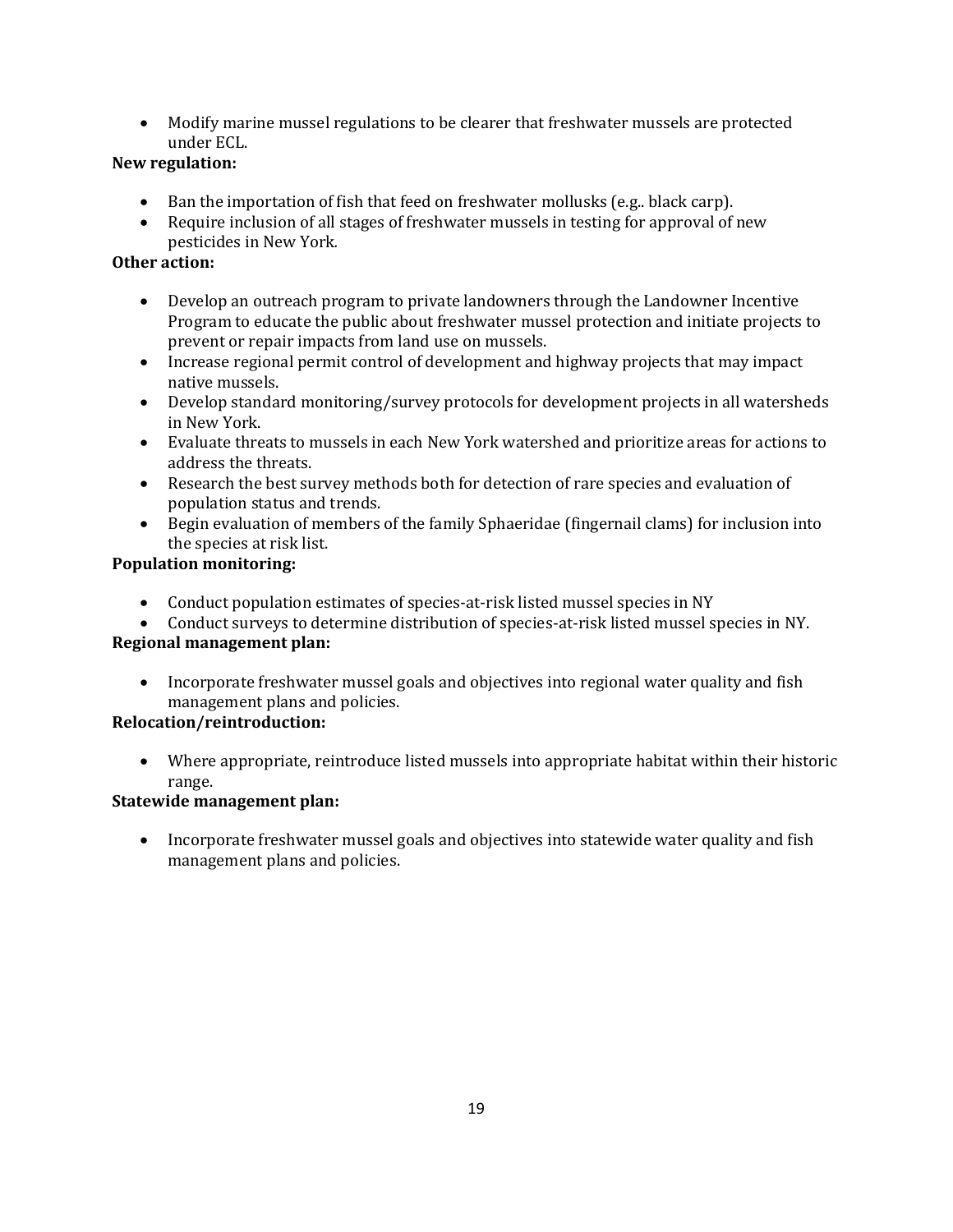• Modify marine mussel regulations to be clearer that freshwater mussels are protected under ECL.

# **New regulation:**

- Ban the importation of fish that feed on freshwater mollusks (e.g., black carp).
- Require inclusion of all stages of freshwater mussels in testing for approval of new pesticides in New York*.*

# **Other action:**

- Develop an outreach program to private landowners through the Landowner Incentive Program to educate the public about freshwater mussel protection and initiate projects to prevent or repair impacts from land use on mussels.
- Increase regional permit control of development and highway projects that may impact native mussels.
- Develop standard monitoring/survey protocols for development projects in all watersheds in New York.
- Evaluate threats to mussels in each New York watershed and prioritize areas for actions to address the threats.
- Research the best survey methods both for detection of rare species and evaluation of population status and trends.
- Begin evaluation of members of the family Sphaeridae (fingernail clams) for inclusion into the species at risk list.

# **Population monitoring:**

- Conduct population estimates of species-at-risk listed mussel species in NY
- Conduct surveys to determine distribution of species-at-risk listed mussel species in NY.

# **Regional management plan:**

• Incorporate freshwater mussel goals and objectives into regional water quality and fish management plans and policies.

# **Relocation/reintroduction:**

• Where appropriate, reintroduce listed mussels into appropriate habitat within their historic range.

# **Statewide management plan:**

• Incorporate freshwater mussel goals and objectives into statewide water quality and fish management plans and policies.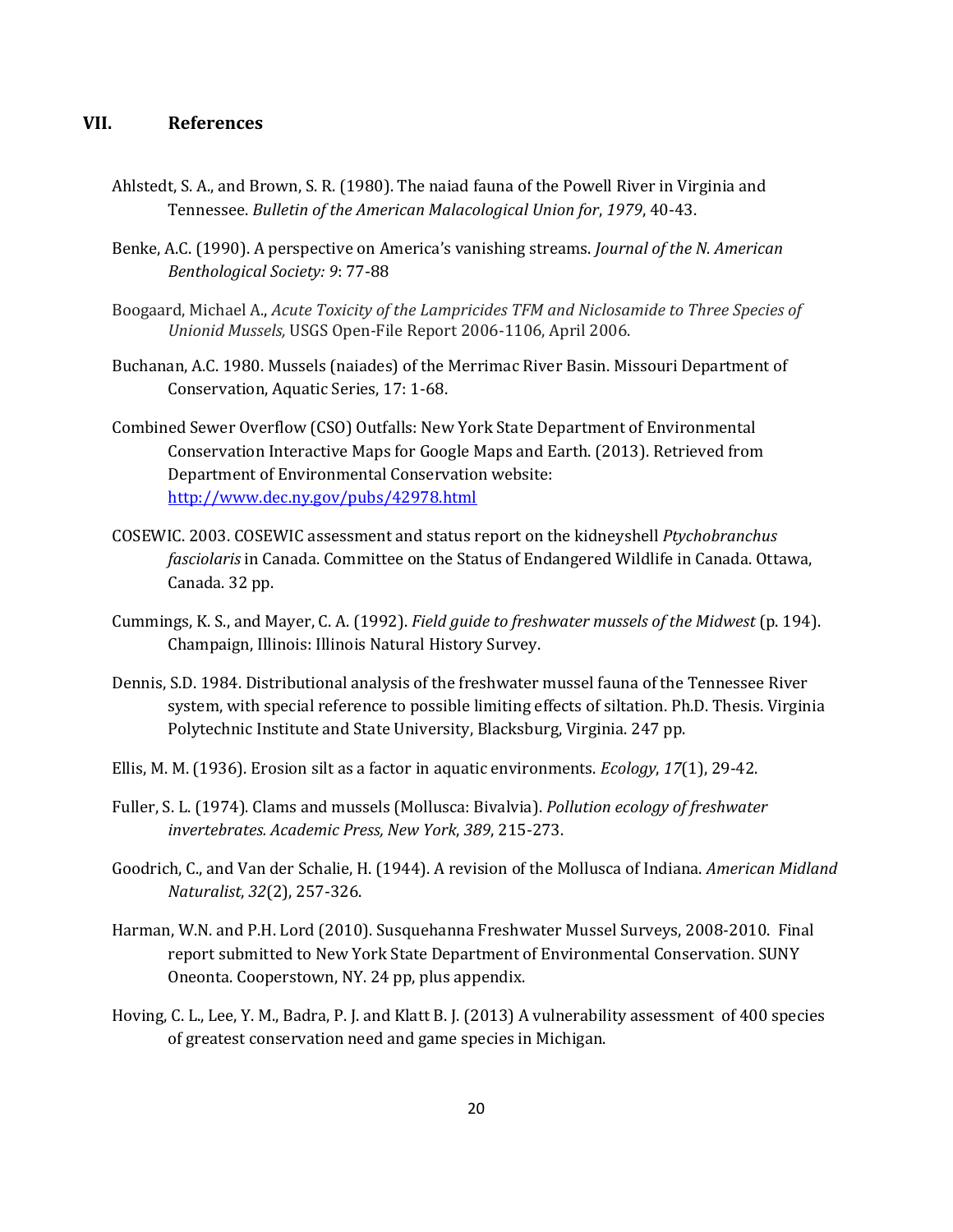## **VII. References**

- Ahlstedt, S. A., and Brown, S. R. (1980). The naiad fauna of the Powell River in Virginia and Tennessee. *Bulletin of the American Malacological Union for*, *1979*, 40-43.
- Benke, A.C. (1990). A perspective on America's vanishing streams. *Journal of the N. American Benthological Society: 9*: 77-88
- Boogaard, Michael A., *Acute Toxicity of the Lampricides TFM and Niclosamide to Three Species of Unionid Mussels,* USGS Open-File Report 2006-1106, April 2006.
- Buchanan, A.C. 1980. Mussels (naiades) of the Merrimac River Basin. Missouri Department of Conservation, Aquatic Series, 17: 1-68.
- Combined Sewer Overflow (CSO) Outfalls: New York State Department of Environmental Conservation Interactive Maps for Google Maps and Earth. (2013). Retrieved from Department of Environmental Conservation website: <http://www.dec.ny.gov/pubs/42978.html>
- COSEWIC. 2003. COSEWIC assessment and status report on the kidneyshell *Ptychobranchus fasciolaris* in Canada. Committee on the Status of Endangered Wildlife in Canada. Ottawa, Canada. 32 pp.
- Cummings, K. S., and Mayer, C. A. (1992). *Field guide to freshwater mussels of the Midwest* (p. 194). Champaign, Illinois: Illinois Natural History Survey.
- Dennis, S.D. 1984. Distributional analysis of the freshwater mussel fauna of the Tennessee River system, with special reference to possible limiting effects of siltation. Ph.D. Thesis. Virginia Polytechnic Institute and State University, Blacksburg, Virginia. 247 pp.
- Ellis, M. M. (1936). Erosion silt as a factor in aquatic environments. *Ecology*, *17*(1), 29-42.
- Fuller, S. L. (1974). Clams and mussels (Mollusca: Bivalvia). *Pollution ecology of freshwater invertebrates. Academic Press, New York*, *389*, 215-273.
- Goodrich, C., and Van der Schalie, H. (1944). A revision of the Mollusca of Indiana. *American Midland Naturalist*, *32*(2), 257-326.
- Harman, W.N. and P.H. Lord (2010). Susquehanna Freshwater Mussel Surveys, 2008-2010. Final report submitted to New York State Department of Environmental Conservation. SUNY Oneonta. Cooperstown, NY. 24 pp, plus appendix.
- Hoving, C. L., Lee, Y. M., Badra, P. J. and Klatt B. J. (2013) A vulnerability assessment of 400 species of greatest conservation need and game species in Michigan.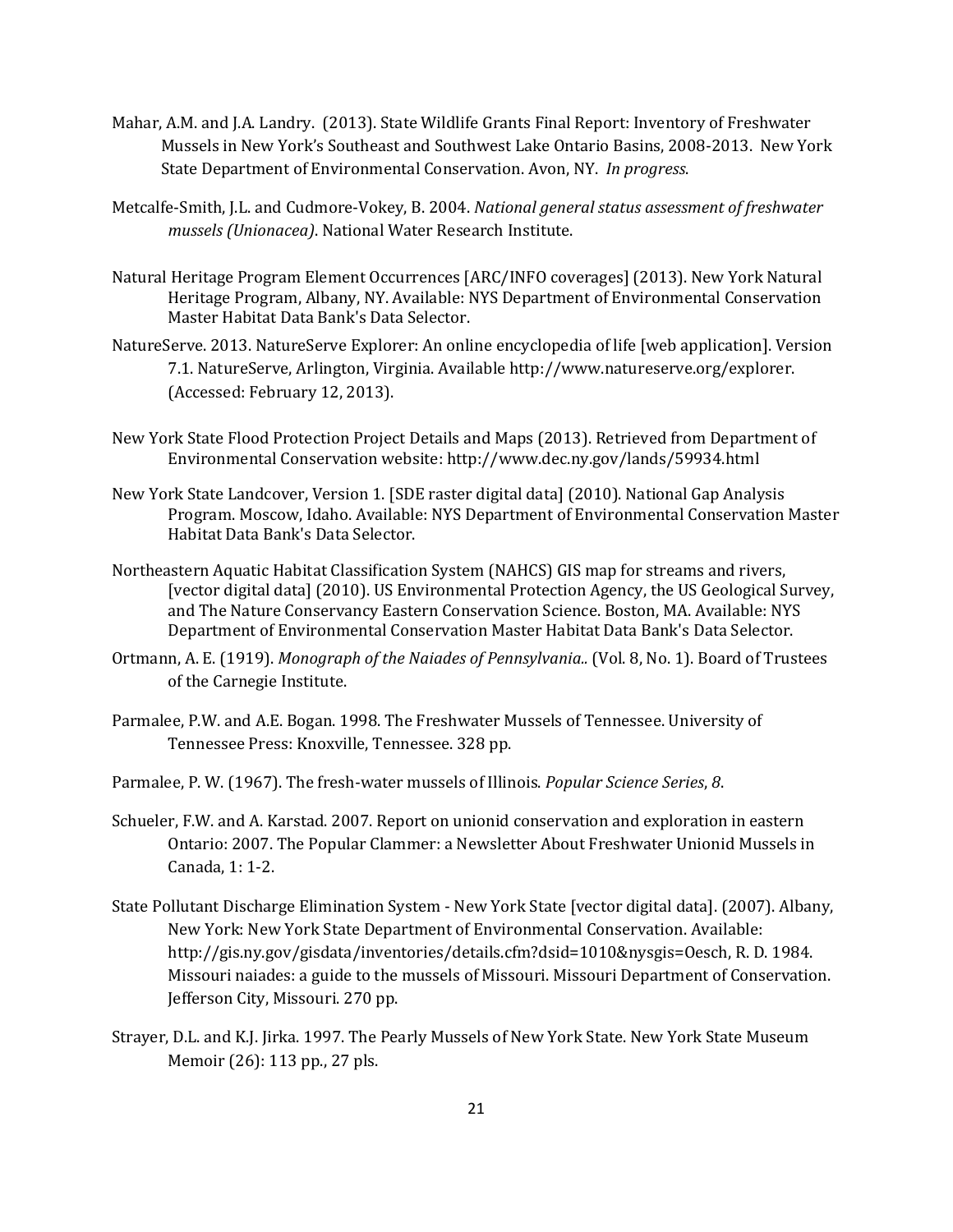- Mahar, A.M. and J.A. Landry. (2013). State Wildlife Grants Final Report: Inventory of Freshwater Mussels in New York's Southeast and Southwest Lake Ontario Basins, 2008-2013. New York State Department of Environmental Conservation. Avon, NY. *In progress*.
- Metcalfe-Smith, J.L. and Cudmore-Vokey, B. 2004. *National general status assessment of freshwater mussels (Unionacea)*. National Water Research Institute.
- Natural Heritage Program Element Occurrences [ARC/INFO coverages] (2013). New York Natural Heritage Program, Albany, NY. Available: NYS Department of Environmental Conservation Master Habitat Data Bank's Data Selector.
- NatureServe. 2013. NatureServe Explorer: An online encyclopedia of life [web application]. Version 7.1. NatureServe, Arlington, Virginia. Available http://www.natureserve.org/explorer. (Accessed: February 12, 2013).
- New York State Flood Protection Project Details and Maps (2013). Retrieved from Department of Environmental Conservation website: http://www.dec.ny.gov/lands/59934.html
- New York State Landcover, Version 1. [SDE raster digital data] (2010). National Gap Analysis Program. Moscow, Idaho. Available: NYS Department of Environmental Conservation Master Habitat Data Bank's Data Selector.
- Northeastern Aquatic Habitat Classification System (NAHCS) GIS map for streams and rivers, [vector digital data] (2010). US Environmental Protection Agency, the US Geological Survey, and The Nature Conservancy Eastern Conservation Science. Boston, MA. Available: NYS Department of Environmental Conservation Master Habitat Data Bank's Data Selector.
- Ortmann, A. E. (1919). *Monograph of the Naiades of Pennsylvania..* (Vol. 8, No. 1). Board of Trustees of the Carnegie Institute.
- Parmalee, P.W. and A.E. Bogan. 1998. The Freshwater Mussels of Tennessee. University of Tennessee Press: Knoxville, Tennessee. 328 pp.
- Parmalee, P. W. (1967). The fresh-water mussels of Illinois. *Popular Science Series*, *8*.
- Schueler, F.W. and A. Karstad. 2007. Report on unionid conservation and exploration in eastern Ontario: 2007. The Popular Clammer: a Newsletter About Freshwater Unionid Mussels in Canada, 1: 1-2.
- State Pollutant Discharge Elimination System New York State [vector digital data]. (2007). Albany, New York: New York State Department of Environmental Conservation. Available: http://gis.ny.gov/gisdata/inventories/details.cfm?dsid=1010&nysgis=Oesch, R. D. 1984. Missouri naiades: a guide to the mussels of Missouri. Missouri Department of Conservation. Jefferson City, Missouri. 270 pp.
- Strayer, D.L. and K.J. Jirka. 1997. The Pearly Mussels of New York State. New York State Museum Memoir (26): 113 pp., 27 pls.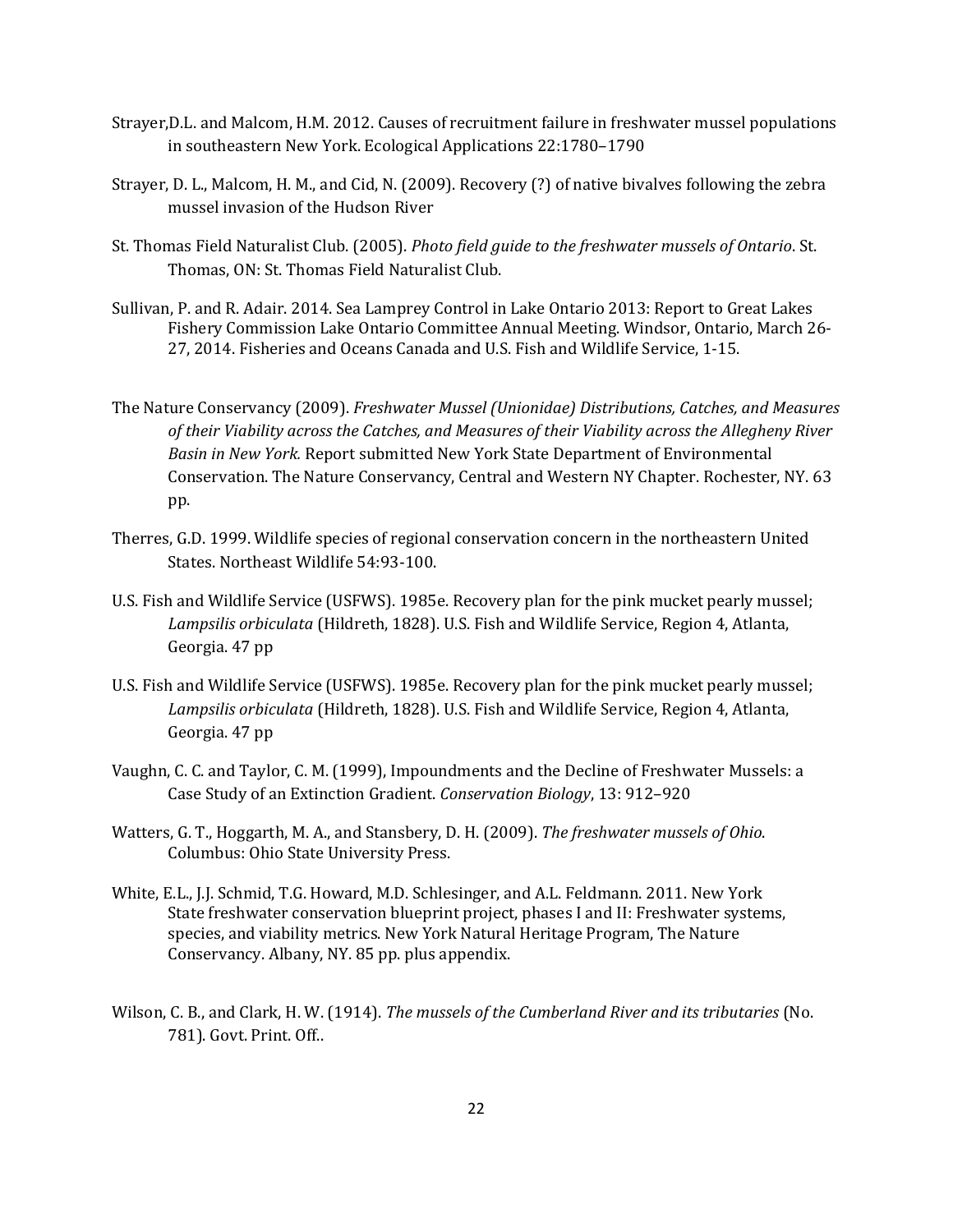- Strayer,D.L. and Malcom, H.M. 2012. Causes of recruitment failure in freshwater mussel populations in southeastern New York. Ecological Applications 22:1780–1790
- Strayer, D. L., Malcom, H. M., and Cid, N. (2009). Recovery (?) of native bivalves following the zebra mussel invasion of the Hudson River
- St. Thomas Field Naturalist Club. (2005). *Photo field guide to the freshwater mussels of Ontario*. St. Thomas, ON: St. Thomas Field Naturalist Club.
- Sullivan, P. and R. Adair. 2014. Sea Lamprey Control in Lake Ontario 2013: Report to Great Lakes Fishery Commission Lake Ontario Committee Annual Meeting. Windsor, Ontario, March 26- 27, 2014. Fisheries and Oceans Canada and U.S. Fish and Wildlife Service, 1-15.
- The Nature Conservancy (2009). *Freshwater Mussel (Unionidae) Distributions, Catches, and Measures of their Viability across the Catches, and Measures of their Viability across the Allegheny River Basin in New York.* Report submitted New York State Department of Environmental Conservation. The Nature Conservancy, Central and Western NY Chapter. Rochester, NY. 63 pp.
- Therres, G.D. 1999. Wildlife species of regional conservation concern in the northeastern United States. Northeast Wildlife 54:93-100.
- U.S. Fish and Wildlife Service (USFWS). 1985e. Recovery plan for the pink mucket pearly mussel; *Lampsilis orbiculata* (Hildreth, 1828). U.S. Fish and Wildlife Service, Region 4, Atlanta, Georgia. 47 pp
- U.S. Fish and Wildlife Service (USFWS). 1985e. Recovery plan for the pink mucket pearly mussel; *Lampsilis orbiculata* (Hildreth, 1828). U.S. Fish and Wildlife Service, Region 4, Atlanta, Georgia. 47 pp
- Vaughn, C. C. and Taylor, C. M. (1999), Impoundments and the Decline of Freshwater Mussels: a Case Study of an Extinction Gradient. *Conservation Biology*, 13: 912–920
- Watters, G. T., Hoggarth, M. A., and Stansbery, D. H. (2009). *The freshwater mussels of Ohio*. Columbus: Ohio State University Press.
- White, E.L., J.J. Schmid, T.G. Howard, M.D. Schlesinger, and A.L. Feldmann. 2011. New York State freshwater conservation blueprint project, phases I and II: Freshwater systems, species, and viability metrics. New York Natural Heritage Program, The Nature Conservancy. Albany, NY. 85 pp. plus appendix.
- Wilson, C. B., and Clark, H. W. (1914). *The mussels of the Cumberland River and its tributaries* (No. 781). Govt. Print. Off..